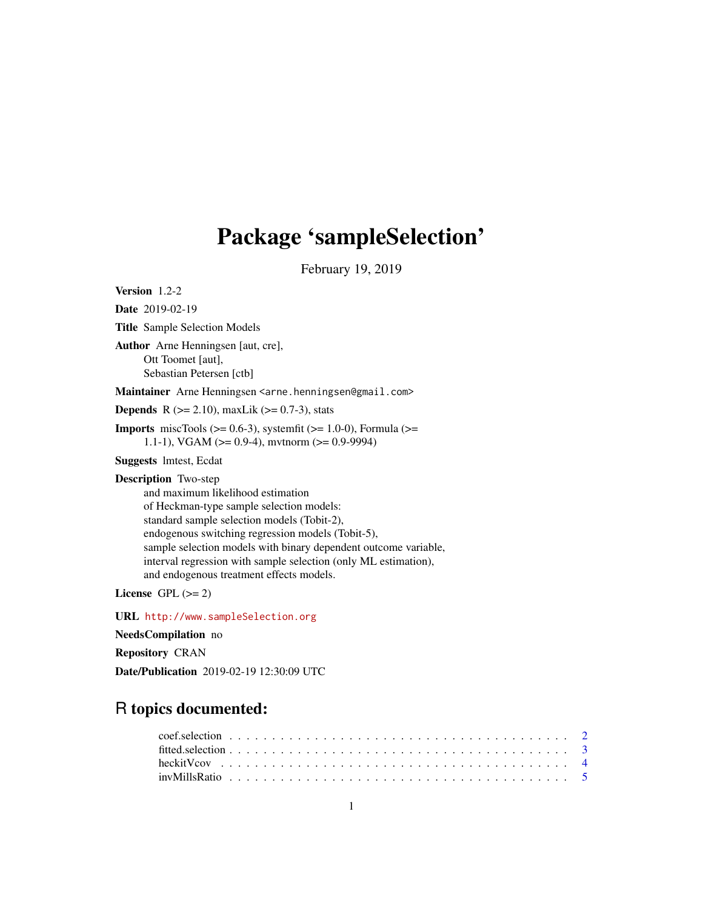## Package 'sampleSelection'

February 19, 2019

<span id="page-0-0"></span>Version 1.2-2

Date 2019-02-19 Title Sample Selection Models Author Arne Henningsen [aut, cre], Ott Toomet [aut], Sebastian Petersen [ctb] Maintainer Arne Henningsen <arne.henningsen@gmail.com> **Depends** R  $(>= 2.10)$ , maxLik  $(>= 0.7-3)$ , stats **Imports** miscTools  $(>= 0.6-3)$ , systemfit  $(>= 1.0-0)$ , Formula  $(>=$ 1.1-1), VGAM ( $>= 0.9-4$ ), mvtnorm ( $>= 0.9-9994$ ) Suggests lmtest, Ecdat Description Two-step and maximum likelihood estimation of Heckman-type sample selection models: standard sample selection models (Tobit-2), endogenous switching regression models (Tobit-5), sample selection models with binary dependent outcome variable, interval regression with sample selection (only ML estimation), and endogenous treatment effects models.

License GPL  $(>= 2)$ 

URL <http://www.sampleSelection.org>

NeedsCompilation no

Repository CRAN

Date/Publication 2019-02-19 12:30:09 UTC

## R topics documented: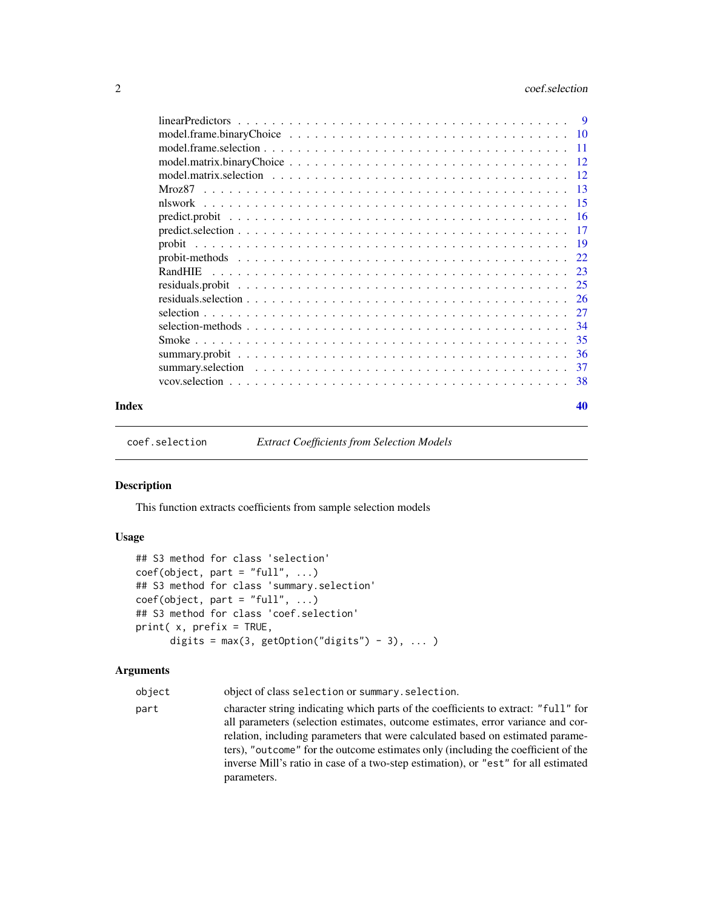<span id="page-1-0"></span>

|       | RandHIE |    |
|-------|---------|----|
|       |         |    |
|       |         |    |
|       |         |    |
|       |         |    |
|       |         |    |
|       |         |    |
|       |         |    |
|       |         |    |
| Index |         | 40 |

<span id="page-1-1"></span>coef.selection *Extract Coefficients from Selection Models*

## Description

This function extracts coefficients from sample selection models

## Usage

```
## S3 method for class 'selection'
coef(object, part = "full", ...)## S3 method for class 'summary.selection'
coef(object, part = "full", ...)## S3 method for class 'coef.selection'
print( x, prefix = TRUE,
     digits = max(3, getOption("digits") - 3), ... )
```
## Arguments

| object | object of class selection or summary. selection.                                   |
|--------|------------------------------------------------------------------------------------|
| part   | character string indicating which parts of the coefficients to extract: "full" for |
|        | all parameters (selection estimates, outcome estimates, error variance and cor-    |
|        | relation, including parameters that were calculated based on estimated parame-     |
|        | ters), "outcome" for the outcome estimates only (including the coefficient of the  |
|        | inverse Mill's ratio in case of a two-step estimation), or "est" for all estimated |
|        | parameters.                                                                        |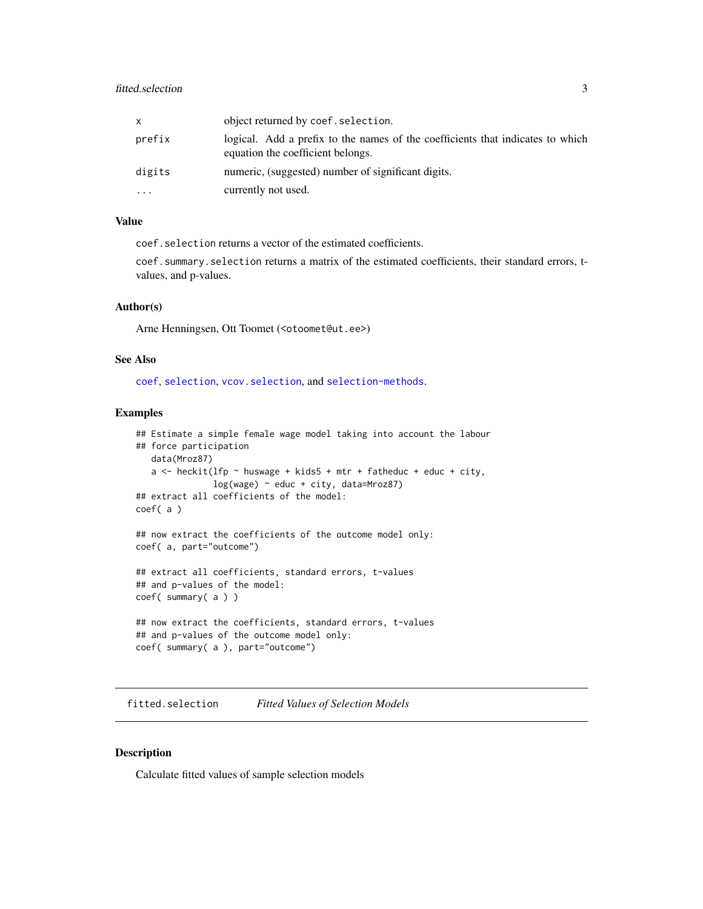## <span id="page-2-0"></span>fitted.selection 3

| x      | object returned by coef. selection.                                                                                 |
|--------|---------------------------------------------------------------------------------------------------------------------|
| prefix | logical. Add a prefix to the names of the coefficients that indicates to which<br>equation the coefficient belongs. |
| digits | numeric, (suggested) number of significant digits.                                                                  |
| .      | currently not used.                                                                                                 |

## Value

coef.selection returns a vector of the estimated coefficients.

coef.summary.selection returns a matrix of the estimated coefficients, their standard errors, tvalues, and p-values.

#### Author(s)

Arne Henningsen, Ott Toomet (<otoomet@ut.ee>)

#### See Also

[coef](#page-0-0), [selection](#page-26-1), [vcov.selection](#page-37-1), and [selection-methods](#page-33-1).

#### Examples

```
## Estimate a simple female wage model taking into account the labour
## force participation
   data(Mroz87)
   a \le heckit(lfp \sim huswage + kids5 + mtr + fatheduc + educ + city,
               log(wage) ~ educ + city, data=Mroz87)
## extract all coefficients of the model:
coef( a )
## now extract the coefficients of the outcome model only:
coef( a, part="outcome")
## extract all coefficients, standard errors, t-values
## and p-values of the model:
coef( summary( a ) )
## now extract the coefficients, standard errors, t-values
## and p-values of the outcome model only:
coef( summary( a ), part="outcome")
```
<span id="page-2-1"></span>fitted.selection *Fitted Values of Selection Models*

## Description

Calculate fitted values of sample selection models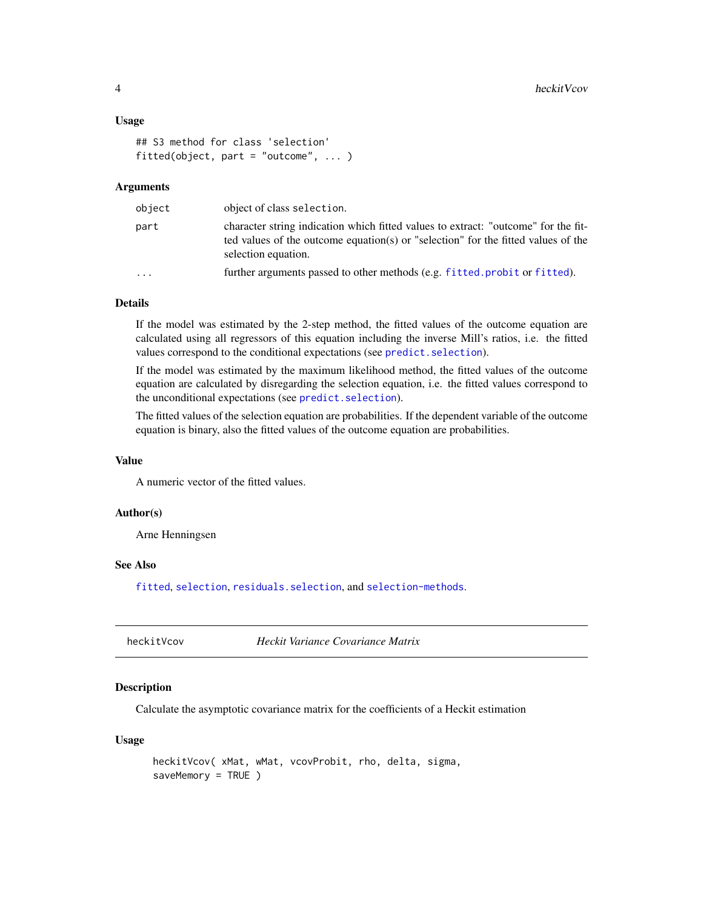#### <span id="page-3-0"></span>Usage

```
## S3 method for class 'selection'
fitted(object, part = "outcome", ... )
```
#### Arguments

| object | object of class selection.                                                                                                                                                                     |
|--------|------------------------------------------------------------------------------------------------------------------------------------------------------------------------------------------------|
| part   | character string indication which fitted values to extract: "outcome" for the fit-<br>ted values of the outcome equation(s) or "selection" for the fitted values of the<br>selection equation. |
| .      | further arguments passed to other methods (e.g. fitted.probit or fitted).                                                                                                                      |

### Details

If the model was estimated by the 2-step method, the fitted values of the outcome equation are calculated using all regressors of this equation including the inverse Mill's ratios, i.e. the fitted values correspond to the conditional expectations (see [predict.selection](#page-16-1)).

If the model was estimated by the maximum likelihood method, the fitted values of the outcome equation are calculated by disregarding the selection equation, i.e. the fitted values correspond to the unconditional expectations (see [predict.selection](#page-16-1)).

The fitted values of the selection equation are probabilities. If the dependent variable of the outcome equation is binary, also the fitted values of the outcome equation are probabilities.

#### Value

A numeric vector of the fitted values.

#### Author(s)

Arne Henningsen

## See Also

[fitted](#page-0-0), [selection](#page-26-1), [residuals.selection](#page-25-1), and [selection-methods](#page-33-1).

heckitVcov *Heckit Variance Covariance Matrix*

## Description

Calculate the asymptotic covariance matrix for the coefficients of a Heckit estimation

#### Usage

```
heckitVcov( xMat, wMat, vcovProbit, rho, delta, sigma,
saveMemory = TRUE )
```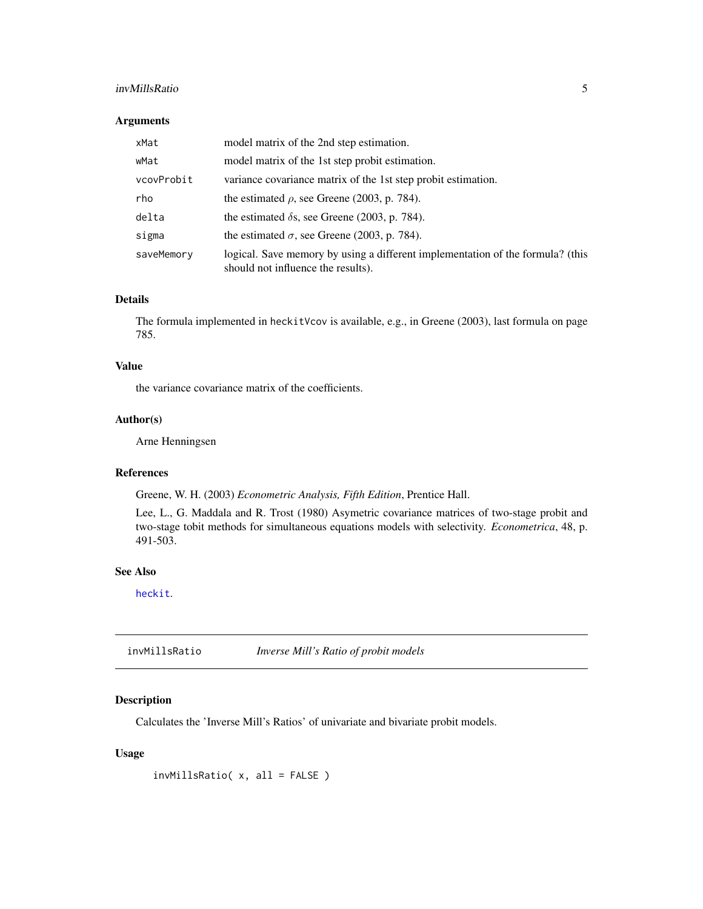## <span id="page-4-0"></span>invMillsRatio 5

## Arguments

| xMat       | model matrix of the 2nd step estimation.                                                                             |
|------------|----------------------------------------------------------------------------------------------------------------------|
| wMat       | model matrix of the 1st step probit estimation.                                                                      |
| vcovProbit | variance covariance matrix of the 1st step probit estimation.                                                        |
| rho        | the estimated $\rho$ , see Greene (2003, p. 784).                                                                    |
| delta      | the estimated $\delta$ s, see Greene (2003, p. 784).                                                                 |
| sigma      | the estimated $\sigma$ , see Greene (2003, p. 784).                                                                  |
| saveMemory | logical. Save memory by using a different implementation of the formula? (this<br>should not influence the results). |

## Details

The formula implemented in heckitVcov is available, e.g., in Greene (2003), last formula on page 785.

## Value

the variance covariance matrix of the coefficients.

## Author(s)

Arne Henningsen

## References

Greene, W. H. (2003) *Econometric Analysis, Fifth Edition*, Prentice Hall.

Lee, L., G. Maddala and R. Trost (1980) Asymetric covariance matrices of two-stage probit and two-stage tobit methods for simultaneous equations models with selectivity. *Econometrica*, 48, p. 491-503.

#### See Also

[heckit](#page-26-2).

invMillsRatio *Inverse Mill's Ratio of probit models*

## Description

Calculates the 'Inverse Mill's Ratios' of univariate and bivariate probit models.

## Usage

invMillsRatio( x, all = FALSE )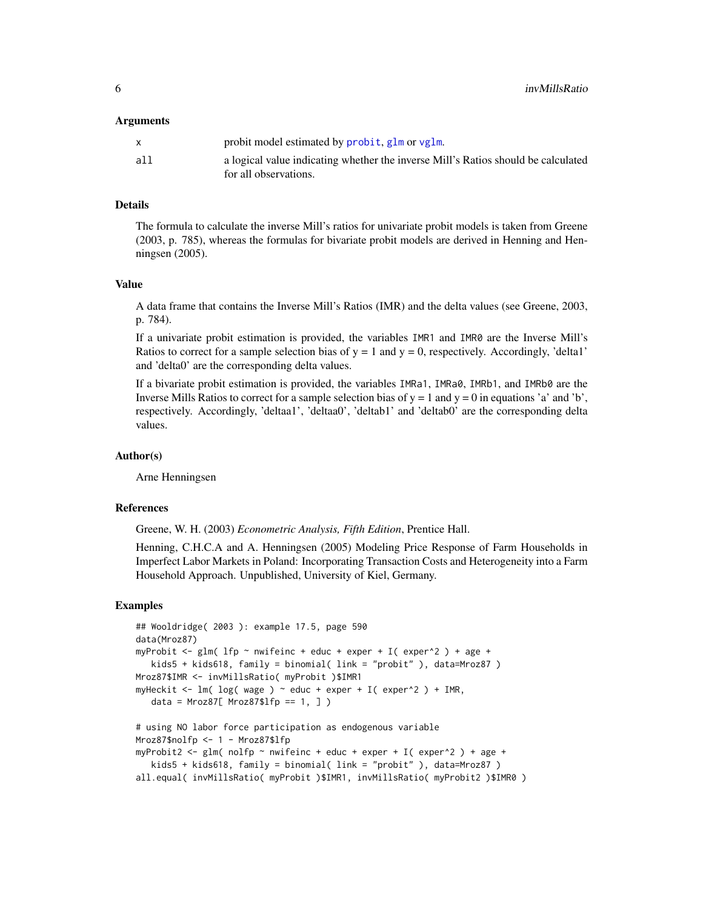#### <span id="page-5-0"></span>Arguments

|     | probit model estimated by probit, glm or vglm.                                                             |
|-----|------------------------------------------------------------------------------------------------------------|
| all | a logical value indicating whether the inverse Mill's Ratios should be calculated<br>for all observations. |

## Details

The formula to calculate the inverse Mill's ratios for univariate probit models is taken from Greene (2003, p. 785), whereas the formulas for bivariate probit models are derived in Henning and Henningsen (2005).

#### Value

A data frame that contains the Inverse Mill's Ratios (IMR) and the delta values (see Greene, 2003, p. 784).

If a univariate probit estimation is provided, the variables IMR1 and IMR0 are the Inverse Mill's Ratios to correct for a sample selection bias of  $y = 1$  and  $y = 0$ , respectively. Accordingly, 'delta1' and 'delta0' are the corresponding delta values.

If a bivariate probit estimation is provided, the variables IMRa1, IMRa0, IMRb1, and IMRb0 are the Inverse Mills Ratios to correct for a sample selection bias of  $y = 1$  and  $y = 0$  in equations 'a' and 'b', respectively. Accordingly, 'deltaa1', 'deltaa0', 'deltab1' and 'deltab0' are the corresponding delta values.

#### Author(s)

Arne Henningsen

#### References

Greene, W. H. (2003) *Econometric Analysis, Fifth Edition*, Prentice Hall.

Henning, C.H.C.A and A. Henningsen (2005) Modeling Price Response of Farm Households in Imperfect Labor Markets in Poland: Incorporating Transaction Costs and Heterogeneity into a Farm Household Approach. Unpublished, University of Kiel, Germany.

#### Examples

```
## Wooldridge( 2003 ): example 17.5, page 590
data(Mroz87)
myProbit \leq glm( lfp \sim nwifeinc + educ + exper + I( exper^2 ) + age +
   kids5 + kids618, family = binomial( link = "probit" ), data=Mroz87 )
Mroz87$IMR <- invMillsRatio( myProbit )$IMR1
myHeckit <- lm( log( wage ) ~ ~educ + exper + I( exper^2 ) + IMR,
   data = Mroz87[ Mroz87$lfp == 1, 1)# using NO labor force participation as endogenous variable
Mroz87$nolfp <- 1 - Mroz87$lfp
myProbit2 <- glm( nolfp ~ nwifeinc + educ + exper + I( exper^2 ) + age +
   kids5 + kids618, family = binomial( link = "probit" ), data=Mroz87 )
all.equal( invMillsRatio( myProbit )$IMR1, invMillsRatio( myProbit2 )$IMR0 )
```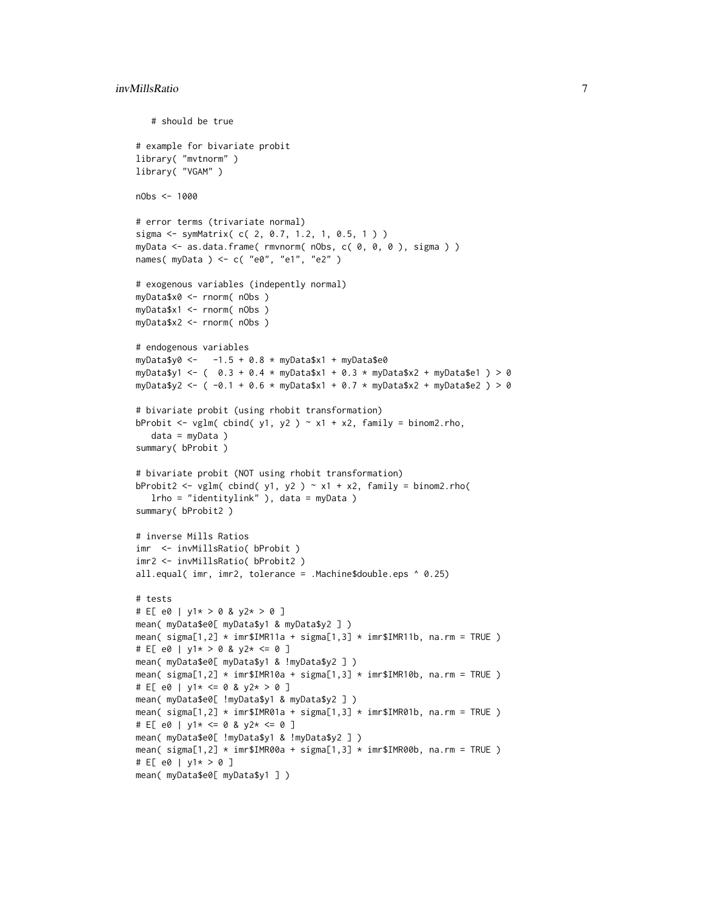```
# should be true
# example for bivariate probit
library( "mvtnorm" )
library( "VGAM" )
nObs <- 1000
# error terms (trivariate normal)
sigma <- symMatrix( c( 2, 0.7, 1.2, 1, 0.5, 1 ) )
myData <- as.data.frame( rmvnorm( nObs, c( 0, 0, 0 ), sigma ) )
names( myData ) <- c( "e0", "e1", "e2" )
# exogenous variables (indepently normal)
myData$x0 <- rnorm( nObs )
myData$x1 <- rnorm( nObs )
myData$x2 <- rnorm( nObs )
# endogenous variables
myData$y0 <- -1.5 + 0.8 * myData$x1 + myData$e0
myData$y1 <- ( 0.3 + 0.4 \times myData$x1 + 0.3 \times myData$x2 + myData$e1 ) > 0
myData$y2 <- (-0.1 + 0.6 * myData$x1 + 0.7 * myData$x2 + myData$e2 ) > 0# bivariate probit (using rhobit transformation)
bProbit \leq vglm( cbind( y1, y2 ) \sim x1 + x2, family = binom2.rho,
   data = myData )
summary( bProbit )
# bivariate probit (NOT using rhobit transformation)
bProbit2 <- vglm( cbind( y1, y2 ) \sim x1 + x2, family = binom2.rho(
  lrho = "identitylink" ), data = myData )
summary( bProbit2 )
# inverse Mills Ratios
imr <- invMillsRatio( bProbit )
imr2 <- invMillsRatio( bProbit2 )
all.equal( imr, imr2, tolerance = .Machine$double.eps ^ 0.25)
# tests
# E[ e0 | y1* > 0 & y2* > 0 ]
mean( myData$e0[ myData$y1 & myData$y2 ] )
mean( sigma[1,2] * imr$IMR11a + sigma[1,3] * imr$IMR11b, na.rm = TRUE)
# E[ e0 | y1* > 0 & y2* <= 0 ]
mean( myData$e0[ myData$y1 & !myData$y2 ] )
mean( signa[1,2] \times imr$IMR10a + sigma[1,3] \times imr$IMR10b, na.rm = TRUE)
# E[ e0 | y1* <= 0 & y2* > 0 ]
mean( myData$e0[ !myData$y1 & myData$y2 ] )
mean( signa[1,2] * imr$IMR01a + signa[1,3] * imr$IMR01b, na.rm = TRUE )# E[ e0 | y1* <= 0 & y2* <= 0 ]
mean( myData$e0[ !myData$y1 & !myData$y2 ] )
mean( signa[1,2] * imr$IMR00a + signa[1,3] * imr$IMR00b, na.rm = TRUE )# E[ e0 | y1* > 0 ]mean( myData$e0[ myData$y1 ] )
```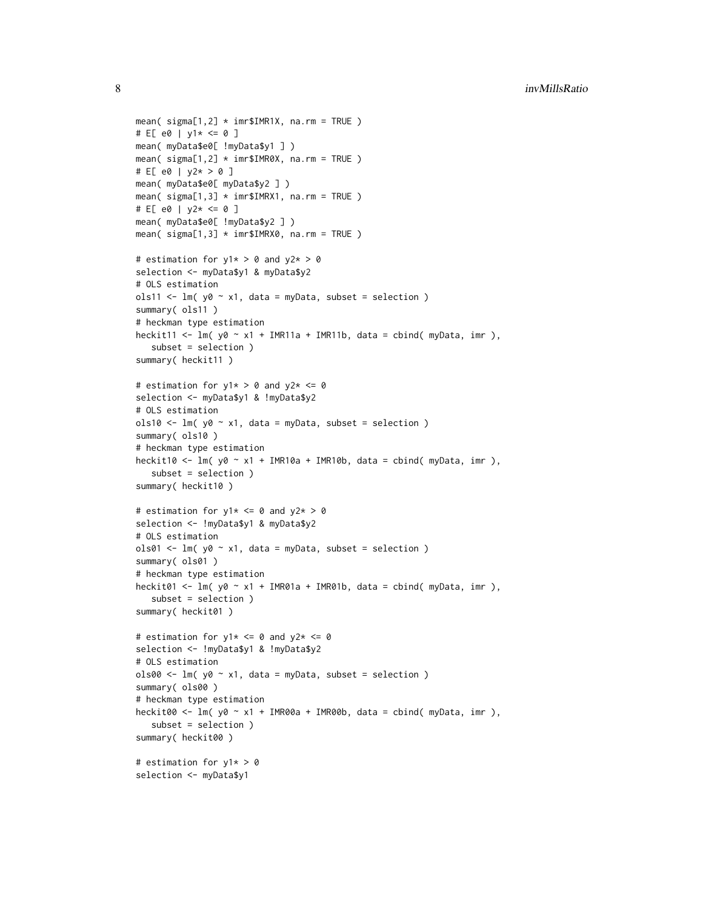```
mean( signa[1,2] \times imr$IMR1X, na.rm = TRUE )
# E[ e0 | y1* <= 0 ]
mean( myData$e0[ !myData$y1 ] )
mean( signa[1,2] \times imr$IMR0X, na.rm = TRUE )
# E[ e0 | y2* > 0 ]
mean( myData$e0[ myData$y2 ] )
mean( signa[1,3] \times imr$IMRX1, na.rm = TRUE )
# E[ e0 | y2* \le 0 ]mean( myData$e0[ !myData$y2 ] )
mean( sigma[1,3] * imr$IMRX0, na.rm = TRUE )
# estimation for y1* > 0 and y2* > 0
selection <- myData$y1 & myData$y2
# OLS estimation
ols11 <- lm(y0 \sim x1, data = myData, subset = selection)summary( ols11 )
# heckman type estimation
heckit11 <- lm( y0 ~ x1 ~ + IMR11a + IMR11b, data = cbind( myData, imr),
   subset = selection )
summary( heckit11 )
# estimation for y1* > 0 and y2* <= 0selection <- myData$y1 & !myData$y2
# OLS estimation
ols10 <- lm( y0 ~ x1, data = myData, subset = selection )summary( ols10 )
# heckman type estimation
heckit10 <- lm( y0 ~ x1 ~ + ~ IMR10a ~ + ~ IMR10b, data = chind( myData, imr),subset = selection )
summary( heckit10 )
# estimation for y1* \le 0 and y2* > 0selection <- !myData$y1 & myData$y2
# OLS estimation
ols01 <- lm(y0 \sim x1, data = myData, subset = selection)summary( ols01 )
# heckman type estimation
heckit01 <- lm( y0 ~ x1 ~ + ~ IMR01a ~ + ~ IMR01b, data = chind( myData, imr),subset = selection )
summary( heckit01)
# estimation for y1* \leq 0 and y2* \leq 0selection <- !myData$y1 & !myData$y2
# OLS estimation
ols00 <- lm(y0 \sim x1, data = myData, subset = selection)summary( ols00 )
# heckman type estimation
heckit00 <- lm( y0 ~ x1 ~ + ~ IMR00a ~ + ~ IMR00b, data = chind( myData, imr),subset = selection )
summary( heckit00 )
# estimation for y1* > 0
selection <- myData$y1
```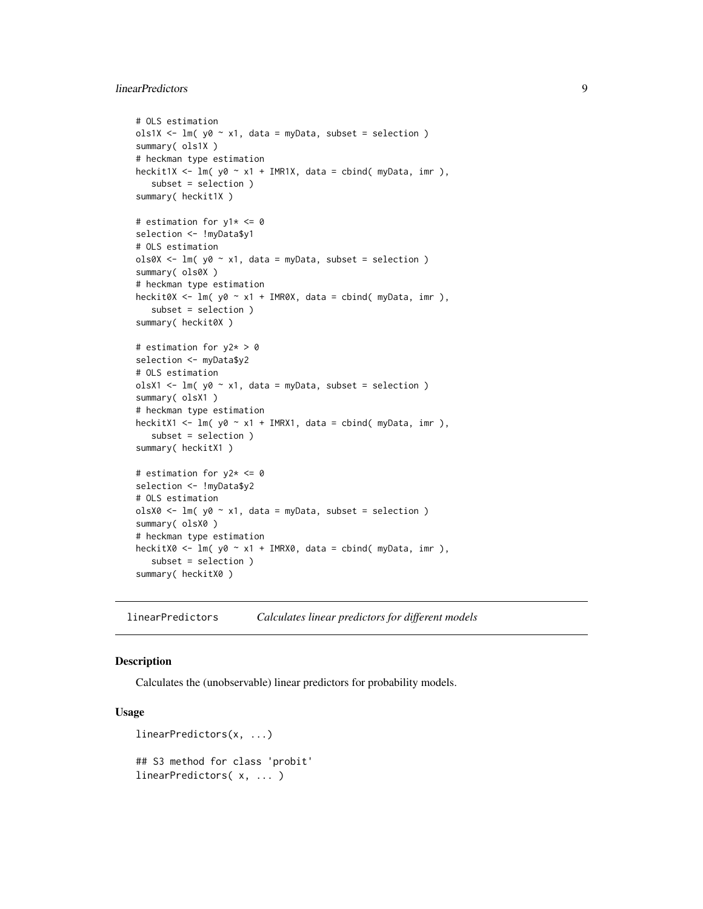## <span id="page-8-0"></span>linearPredictors 9

```
# OLS estimation
ols1X <- lm( y0 ~ x1, data = myData, subset = selection )summary( ols1X )
# heckman type estimation
heckit1X <- lm( y0 ~ x1 ~ + ~ IMR1X, data = cbind( myData, imr),subset = selection )
summary( heckit1X )
# estimation for y1* < = 0selection <- !myData$y1
# OLS estimation
ols0X <- lm( y0 ~ x1, data = myData, subset = selection )summary( ols0X )
# heckman type estimation
heckit0X <- lm( y0 ~ x1 + IMR0X, data = cbind( myData, imr ),
   subset = selection )
summary( heckit0X )
# estimation for y2* > 0
selection <- myData$y2
# OLS estimation
olsX1 \leq lm( y0 \sim x1, data = myData, subset = selection )
summary( olsX1 )
# heckman type estimation
heckitX1 <- lm( y0 ~ x1 + IMRX1, data = cbind( myData, imr ),
   subset = selection )
summary( heckitX1 )
# estimation for y2* <= 0
selection <- !myData$y2
# OLS estimation
olsX0 <- lm(y0 \sim x1, data = myData, subset = selection)summary( olsX0 )
# heckman type estimation
heckitX0 <- lm( y0 \sim x1 + IMRX0, data = cbind( myData, imr),
   subset = selection )
summary( heckitX0 )
```
linearPredictors *Calculates linear predictors for different models*

## <span id="page-8-1"></span>Description

Calculates the (unobservable) linear predictors for probability models.

## Usage

```
linearPredictors(x, ...)
## S3 method for class 'probit'
linearPredictors( x, ... )
```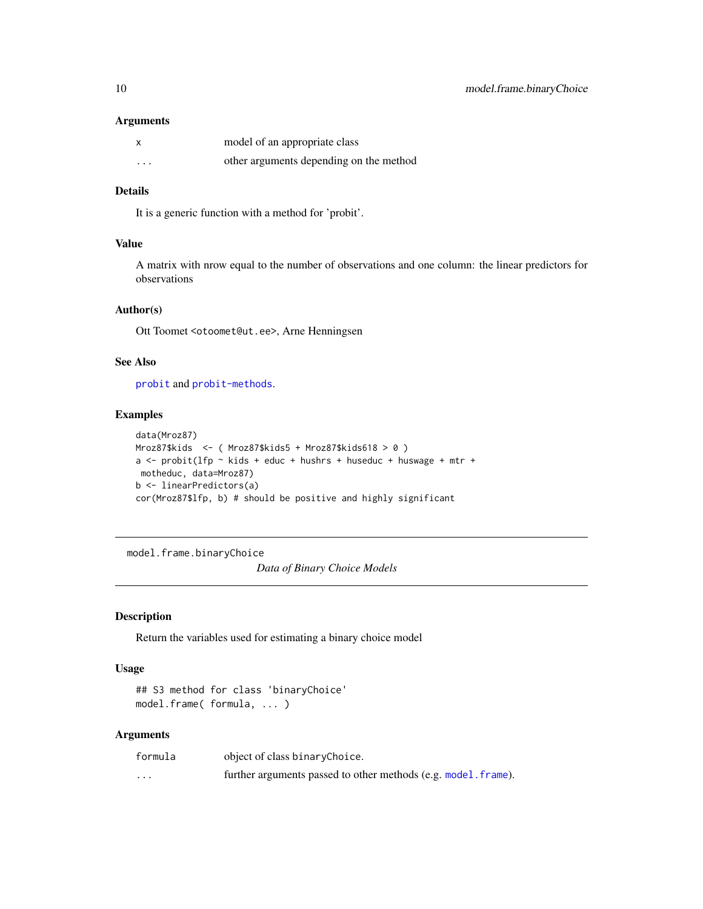## <span id="page-9-0"></span>Arguments

| $\boldsymbol{\mathsf{x}}$ | model of an appropriate class           |
|---------------------------|-----------------------------------------|
| $\cdots$                  | other arguments depending on the method |

## Details

It is a generic function with a method for 'probit'.

## Value

A matrix with nrow equal to the number of observations and one column: the linear predictors for observations

## Author(s)

Ott Toomet <otoomet@ut.ee>, Arne Henningsen

## See Also

[probit](#page-18-1) and [probit-methods](#page-21-2).

#### Examples

```
data(Mroz87)
Mroz87$kids <- ( Mroz87$kids5 + Mroz87$kids618 > 0 )
a \le - probit(lfp \sim kids + educ + hushrs + huseduc + huswage + mtr +
motheduc, data=Mroz87)
b <- linearPredictors(a)
cor(Mroz87$lfp, b) # should be positive and highly significant
```
<span id="page-9-1"></span>model.frame.binaryChoice

*Data of Binary Choice Models*

## Description

Return the variables used for estimating a binary choice model

## Usage

```
## S3 method for class 'binaryChoice'
model.frame( formula, ... )
```
#### Arguments

| formula  | object of class binaryChoice.                                  |
|----------|----------------------------------------------------------------|
| $\cdots$ | further arguments passed to other methods (e.g. model. frame). |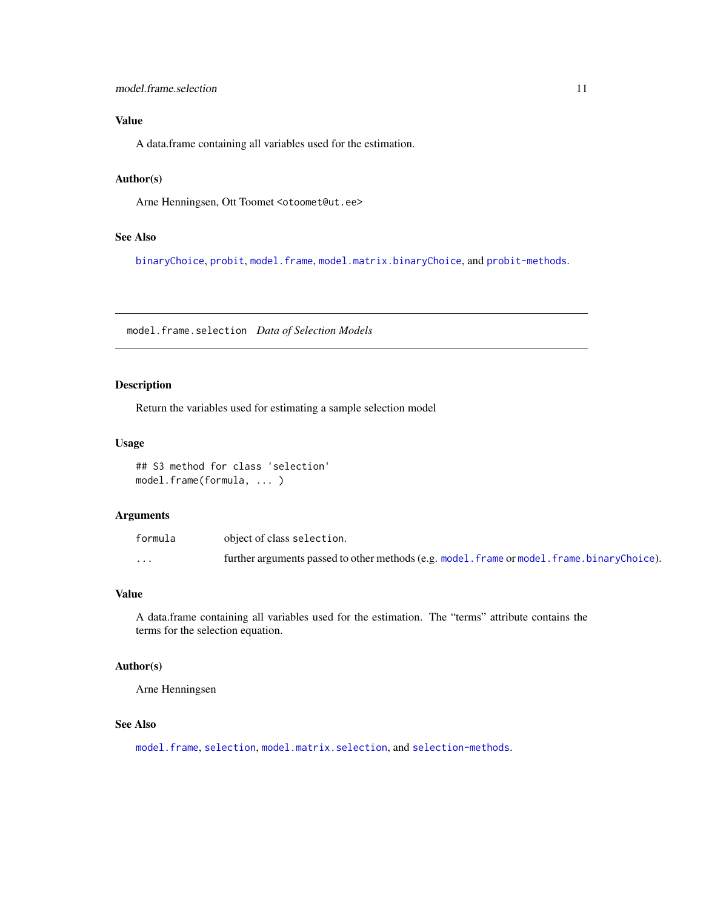## <span id="page-10-0"></span>Value

A data.frame containing all variables used for the estimation.

#### Author(s)

Arne Henningsen, Ott Toomet <otoomet@ut.ee>

## See Also

[binaryChoice](#page-18-2), [probit](#page-18-1), [model.frame](#page-0-0), [model.matrix.binaryChoice](#page-11-1), and [probit-methods](#page-21-2).

<span id="page-10-1"></span>model.frame.selection *Data of Selection Models*

## Description

Return the variables used for estimating a sample selection model

## Usage

## S3 method for class 'selection' model.frame(formula, ... )

#### Arguments

| formula | object of class selection.                                                                  |
|---------|---------------------------------------------------------------------------------------------|
| $\cdot$ | further arguments passed to other methods (e.g. model. frame or model. frame.binaryChoice). |

## Value

A data.frame containing all variables used for the estimation. The "terms" attribute contains the terms for the selection equation.

#### Author(s)

Arne Henningsen

#### See Also

[model.frame](#page-0-0), [selection](#page-26-1), [model.matrix.selection](#page-11-2), and [selection-methods](#page-33-1).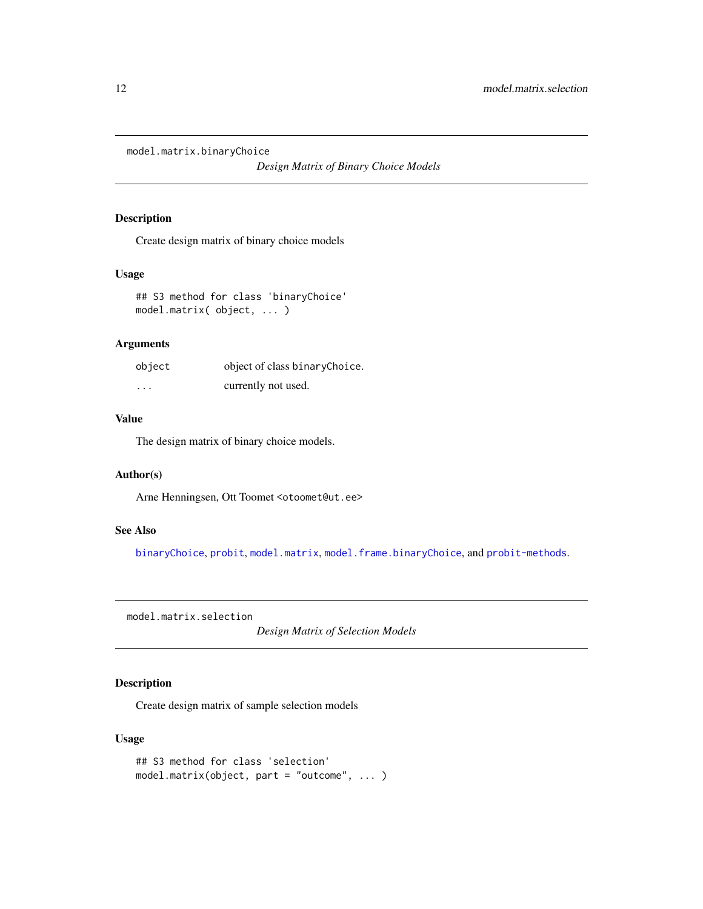<span id="page-11-1"></span><span id="page-11-0"></span>model.matrix.binaryChoice

*Design Matrix of Binary Choice Models*

## Description

Create design matrix of binary choice models

## Usage

```
## S3 method for class 'binaryChoice'
model.matrix( object, ... )
```
## Arguments

| object   | object of class binaryChoice. |
|----------|-------------------------------|
| $\cdots$ | currently not used.           |

## Value

The design matrix of binary choice models.

## Author(s)

Arne Henningsen, Ott Toomet <otoomet@ut.ee>

## See Also

[binaryChoice](#page-18-2), [probit](#page-18-1), [model.matrix](#page-0-0), [model.frame.binaryChoice](#page-9-1), and [probit-methods](#page-21-2).

<span id="page-11-2"></span>model.matrix.selection

*Design Matrix of Selection Models*

## Description

Create design matrix of sample selection models

## Usage

```
## S3 method for class 'selection'
model.matrix(object, part = "outcome", ... )
```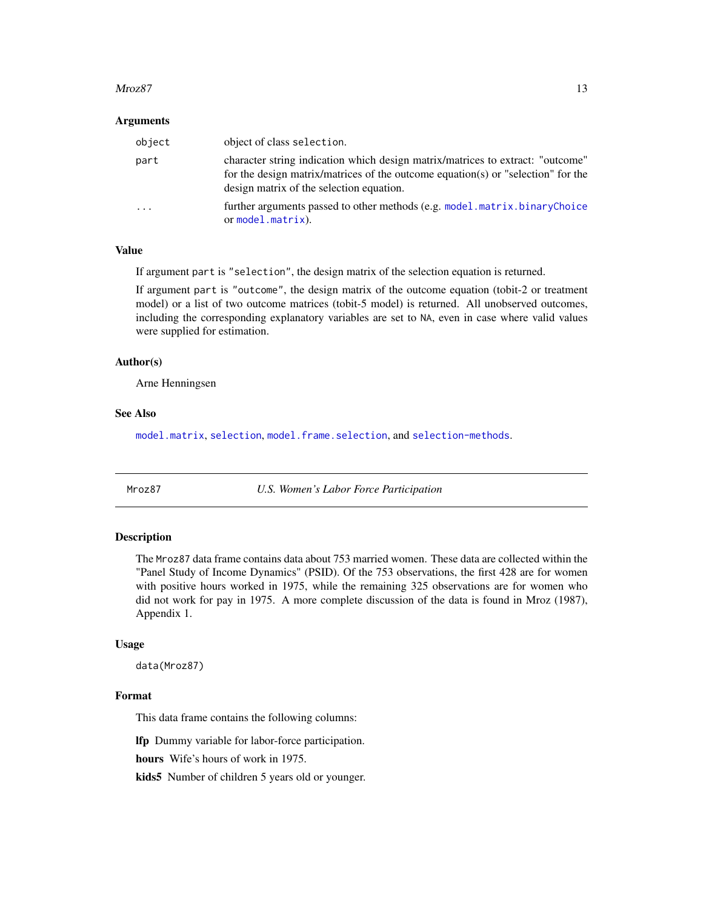#### <span id="page-12-0"></span> $Mroz87$  13

#### Arguments

| object                  | object of class selection.                                                                                                                                                                                     |
|-------------------------|----------------------------------------------------------------------------------------------------------------------------------------------------------------------------------------------------------------|
| part                    | character string indication which design matrix/matrices to extract: "outcome"<br>for the design matrix/matrices of the outcome equation(s) or "selection" for the<br>design matrix of the selection equation. |
| $\cdot$ $\cdot$ $\cdot$ | further arguments passed to other methods (e.g. model matrix binaryChoice<br>or $model.matrix$ ).                                                                                                              |

## Value

If argument part is "selection", the design matrix of the selection equation is returned.

If argument part is "outcome", the design matrix of the outcome equation (tobit-2 or treatment model) or a list of two outcome matrices (tobit-5 model) is returned. All unobserved outcomes, including the corresponding explanatory variables are set to NA, even in case where valid values were supplied for estimation.

#### Author(s)

Arne Henningsen

#### See Also

[model.matrix](#page-0-0), [selection](#page-26-1), [model.frame.selection](#page-10-1), and [selection-methods](#page-33-1).

<span id="page-12-1"></span>

Mroz87 *U.S. Women's Labor Force Participation*

## Description

The Mroz87 data frame contains data about 753 married women. These data are collected within the "Panel Study of Income Dynamics" (PSID). Of the 753 observations, the first 428 are for women with positive hours worked in 1975, while the remaining 325 observations are for women who did not work for pay in 1975. A more complete discussion of the data is found in Mroz (1987), Appendix 1.

#### Usage

data(Mroz87)

#### Format

This data frame contains the following columns:

lfp Dummy variable for labor-force participation.

hours Wife's hours of work in 1975.

kids5 Number of children 5 years old or younger.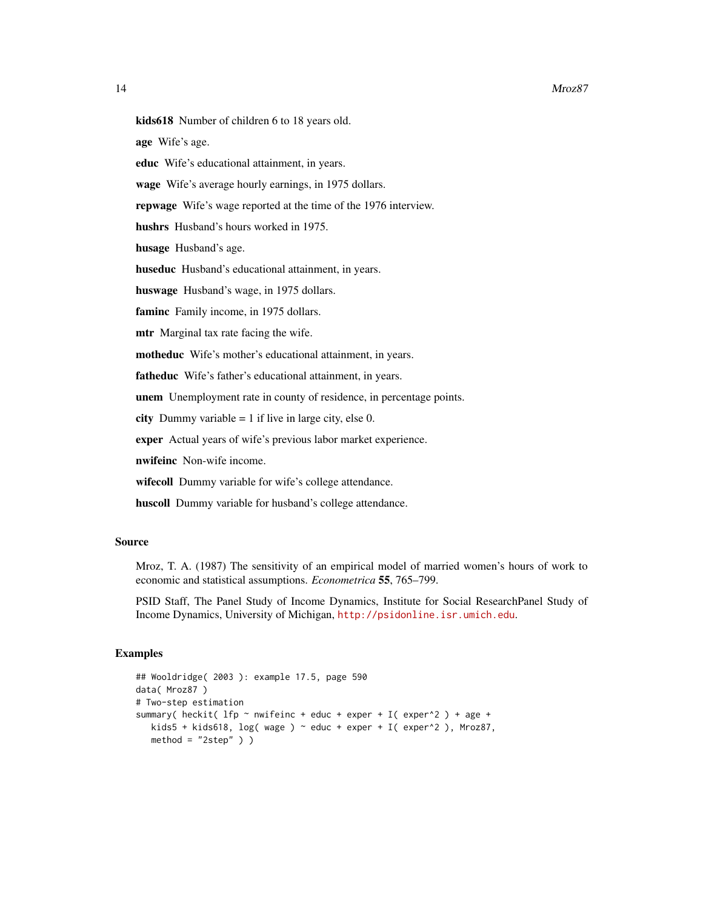#### 14 Mroz87

kids618 Number of children 6 to 18 years old.

age Wife's age.

- educ Wife's educational attainment, in years.
- wage Wife's average hourly earnings, in 1975 dollars.
- repwage Wife's wage reported at the time of the 1976 interview.

hushrs Husband's hours worked in 1975.

husage Husband's age.

huseduc Husband's educational attainment, in years.

huswage Husband's wage, in 1975 dollars.

faminc Family income, in 1975 dollars.

mtr Marginal tax rate facing the wife.

motheduc Wife's mother's educational attainment, in years.

fatheduc Wife's father's educational attainment, in years.

unem Unemployment rate in county of residence, in percentage points.

city Dummy variable  $= 1$  if live in large city, else 0.

exper Actual years of wife's previous labor market experience.

nwifeinc Non-wife income.

wifecoll Dummy variable for wife's college attendance.

huscoll Dummy variable for husband's college attendance.

#### Source

Mroz, T. A. (1987) The sensitivity of an empirical model of married women's hours of work to economic and statistical assumptions. *Econometrica* 55, 765–799.

PSID Staff, The Panel Study of Income Dynamics, Institute for Social ResearchPanel Study of Income Dynamics, University of Michigan, <http://psidonline.isr.umich.edu>.

#### Examples

```
## Wooldridge( 2003 ): example 17.5, page 590
data( Mroz87 )
# Two-step estimation
summary( heckit( 1fp \sim nwifeinc + educ + exper + I( exper^2 ) + age +
  kids5 + kids618, log( wage ) ~ educ + exper + I( exper^2 ), Mroz87,
  method = "2step" )
```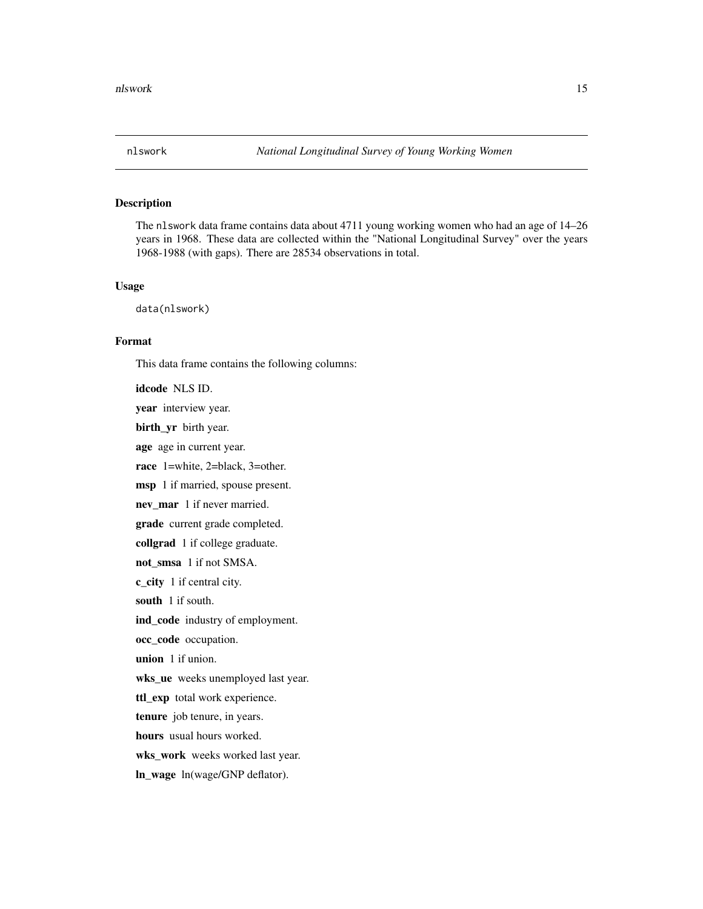<span id="page-14-0"></span>

## Description

The nlswork data frame contains data about 4711 young working women who had an age of 14–26 years in 1968. These data are collected within the "National Longitudinal Survey" over the years 1968-1988 (with gaps). There are 28534 observations in total.

#### Usage

data(nlswork)

## Format

This data frame contains the following columns:

idcode NLS ID. year interview year. birth\_yr birth year. age age in current year. race 1=white, 2=black, 3=other. msp 1 if married, spouse present. nev\_mar 1 if never married. grade current grade completed. collgrad 1 if college graduate. not\_smsa 1 if not SMSA. c\_city 1 if central city. south 1 if south. ind\_code industry of employment. occ\_code\_occupation. union 1 if union. wks\_ue weeks unemployed last year. ttl\_exp total work experience. tenure job tenure, in years. hours usual hours worked. wks\_work weeks worked last year. ln\_wage ln(wage/GNP deflator).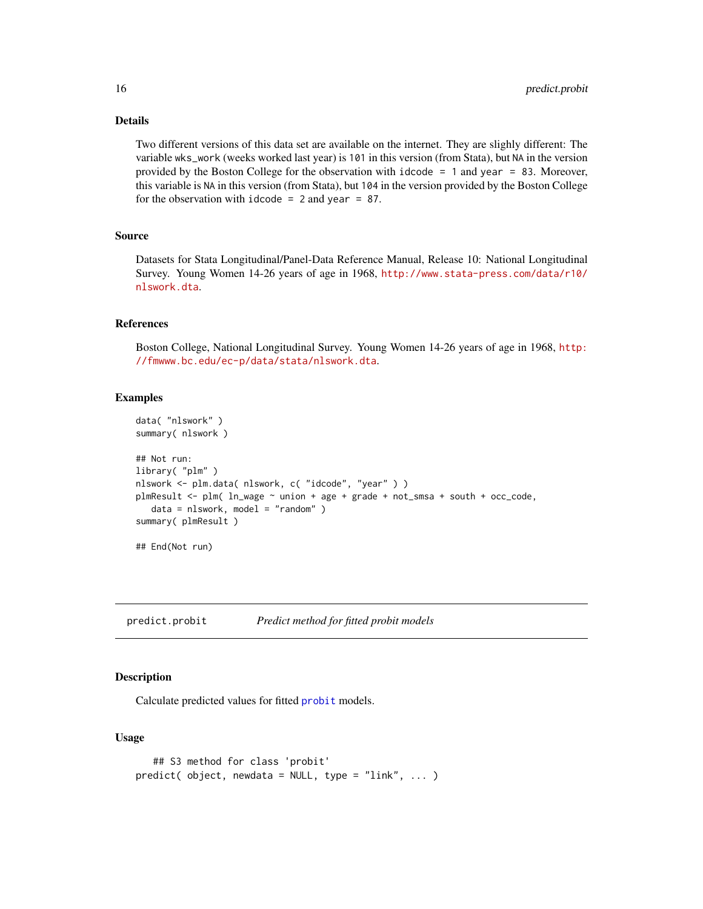## Details

Two different versions of this data set are available on the internet. They are slighly different: The variable wks\_work (weeks worked last year) is 101 in this version (from Stata), but NA in the version provided by the Boston College for the observation with idcode = 1 and year = 83. Moreover, this variable is NA in this version (from Stata), but 104 in the version provided by the Boston College for the observation with idcode  $= 2$  and year  $= 87$ .

## Source

Datasets for Stata Longitudinal/Panel-Data Reference Manual, Release 10: National Longitudinal Survey. Young Women 14-26 years of age in 1968, [http://www.stata-press.com/data/r10/](http://www.stata-press.com/data/r10/nlswork.dta) [nlswork.dta](http://www.stata-press.com/data/r10/nlswork.dta).

#### References

Boston College, National Longitudinal Survey. Young Women 14-26 years of age in 1968, [http:](http://fmwww.bc.edu/ec-p/data/stata/nlswork.dta) [//fmwww.bc.edu/ec-p/data/stata/nlswork.dta](http://fmwww.bc.edu/ec-p/data/stata/nlswork.dta).

## Examples

```
data( "nlswork" )
summary( nlswork )
## Not run:
library( "plm" )
nlswork <- plm.data( nlswork, c( "idcode", "year" ) )
plmResult <- plm( ln_wage ~ union + age + grade + not_smsa + south + occ_code,
   data = nlswork, model = "random" )summary( plmResult )
## End(Not run)
```
<span id="page-15-1"></span>predict.probit *Predict method for fitted probit models*

#### Description

Calculate predicted values for fitted [probit](#page-18-1) models.

## Usage

```
## S3 method for class 'probit'
predict( object, newdata = NULL, type = "link", ... )
```
<span id="page-15-0"></span>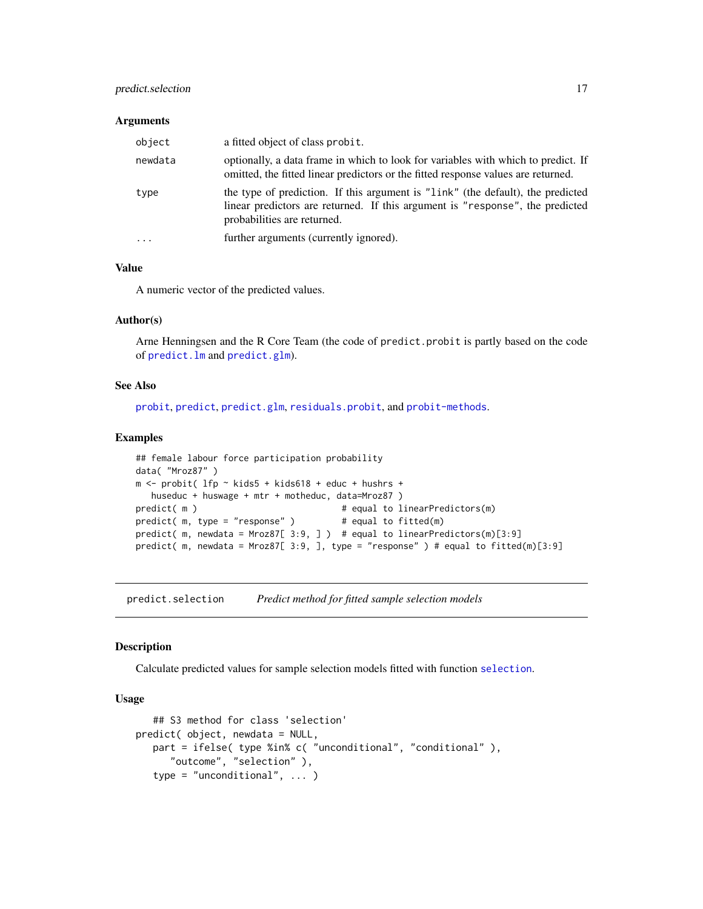## <span id="page-16-0"></span>predict.selection 17

#### Arguments

| object    | a fitted object of class probit.                                                                                                                                                                |
|-----------|-------------------------------------------------------------------------------------------------------------------------------------------------------------------------------------------------|
| newdata   | optionally, a data frame in which to look for variables with which to predict. If<br>omitted, the fitted linear predictors or the fitted response values are returned.                          |
| type      | the type of prediction. If this argument is "link" (the default), the predicted<br>linear predictors are returned. If this argument is "response", the predicted<br>probabilities are returned. |
| $\ddotsc$ | further arguments (currently ignored).                                                                                                                                                          |

#### Value

A numeric vector of the predicted values.

## Author(s)

Arne Henningsen and the R Core Team (the code of predict.probit is partly based on the code of [predict.lm](#page-0-0) and [predict.glm](#page-0-0)).

## See Also

[probit](#page-18-1), [predict](#page-0-0), [predict.glm](#page-0-0), [residuals.probit](#page-24-1), and [probit-methods](#page-21-2).

#### Examples

```
## female labour force participation probability
data( "Mroz87" )
m <- probit( lfp ~ kids5 + kids618 + educ + hushrs +
  huseduc + huswage + mtr + motheduc, data=Mroz87 )
predict( m ) \qquad # equal to linearPredictors(m)
predict( m, type = "response" ) \qquad # equal to fitted(m)
predict( m, newdata = Mroz87[ 3:9, ] ) # equal to linearPredictors(m)[3:9]
predict( m, newdata = Mroz87[ 3:9, ], type = "response" ) # equal to fitted(m)[3:9]
```
<span id="page-16-1"></span>predict.selection *Predict method for fitted sample selection models*

#### Description

Calculate predicted values for sample selection models fitted with function [selection](#page-26-1).

## Usage

```
## S3 method for class 'selection'
predict( object, newdata = NULL,
   part = ifelse( type %in% c( "unconditional", "conditional" ),
      "outcome", "selection" ),
   type = "unconditional", ... )
```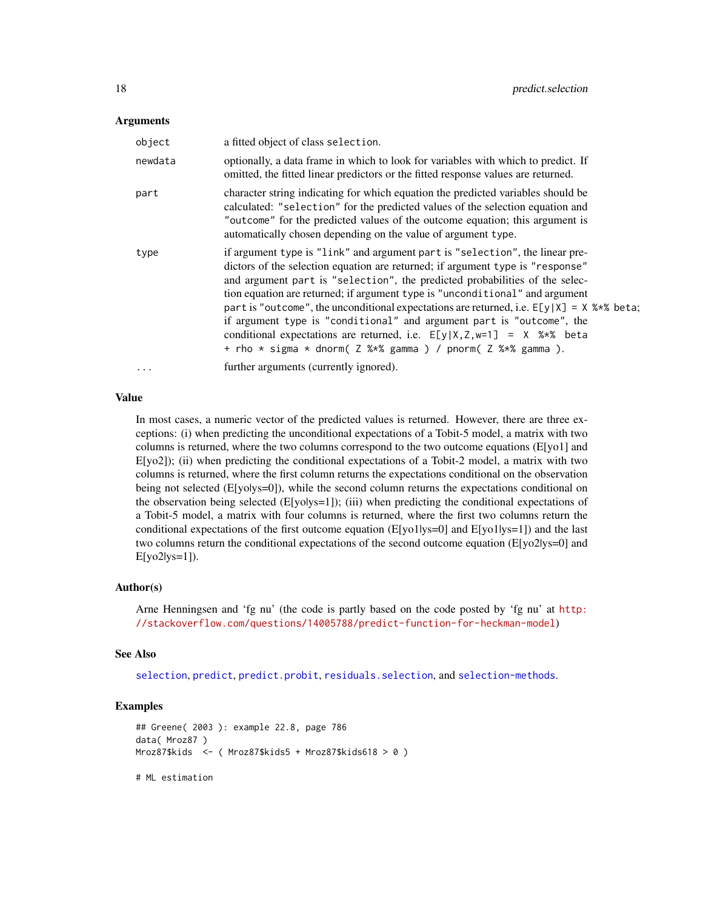#### <span id="page-17-0"></span>Arguments

| object   | a fitted object of class selection.                                                                                                                                                                                                                                                                                                                                                                                                                                                                                                                                                                                                              |
|----------|--------------------------------------------------------------------------------------------------------------------------------------------------------------------------------------------------------------------------------------------------------------------------------------------------------------------------------------------------------------------------------------------------------------------------------------------------------------------------------------------------------------------------------------------------------------------------------------------------------------------------------------------------|
| newdata  | optionally, a data frame in which to look for variables with which to predict. If<br>omitted, the fitted linear predictors or the fitted response values are returned.                                                                                                                                                                                                                                                                                                                                                                                                                                                                           |
| part     | character string indicating for which equation the predicted variables should be<br>calculated: "selection" for the predicted values of the selection equation and<br>"outcome" for the predicted values of the outcome equation; this argument is<br>automatically chosen depending on the value of argument type.                                                                                                                                                                                                                                                                                                                              |
| type     | if argument type is "link" and argument part is "selection", the linear pre-<br>dictors of the selection equation are returned; if argument type is "response"<br>and argument part is "selection", the predicted probabilities of the selec-<br>tion equation are returned; if argument type is "unconditional" and argument<br>part is "outcome", the unconditional expectations are returned, i.e. $E[y X] = X$ %*% beta;<br>if argument type is "conditional" and argument part is "outcome", the<br>conditional expectations are returned, i.e. $E[y X,Z,w=1] = X$ %*% beta<br>+ rho * sigma * dnorm( Z %*% gamma ) / pnorm( Z %*% gamma ). |
| $\cdots$ | further arguments (currently ignored).                                                                                                                                                                                                                                                                                                                                                                                                                                                                                                                                                                                                           |

## Value

In most cases, a numeric vector of the predicted values is returned. However, there are three exceptions: (i) when predicting the unconditional expectations of a Tobit-5 model, a matrix with two columns is returned, where the two columns correspond to the two outcome equations (E[yo1] and E[yo2]); (ii) when predicting the conditional expectations of a Tobit-2 model, a matrix with two columns is returned, where the first column returns the expectations conditional on the observation being not selected (E[yolys=0]), while the second column returns the expectations conditional on the observation being selected  $(E[yolys=1])$ ; (iii) when predicting the conditional expectations of a Tobit-5 model, a matrix with four columns is returned, where the first two columns return the conditional expectations of the first outcome equation (E[yo1|ys=0] and E[yo1|ys=1]) and the last two columns return the conditional expectations of the second outcome equation (E[yo2|ys=0] and E[yo2|ys=1]).

#### Author(s)

Arne Henningsen and 'fg nu' (the code is partly based on the code posted by 'fg nu' at [http:](http://stackoverflow.com/questions/14005788/predict-function-for-heckman-model) [//stackoverflow.com/questions/14005788/predict-function-for-heckman-model](http://stackoverflow.com/questions/14005788/predict-function-for-heckman-model))

#### See Also

[selection](#page-26-1), [predict](#page-0-0), [predict.probit](#page-15-1), [residuals.selection](#page-25-1), and [selection-methods](#page-33-1).

## Examples

```
## Greene( 2003 ): example 22.8, page 786
data( Mroz87 )
Mroz87$kids <- ( Mroz87$kids5 + Mroz87$kids618 > 0 )
```
# ML estimation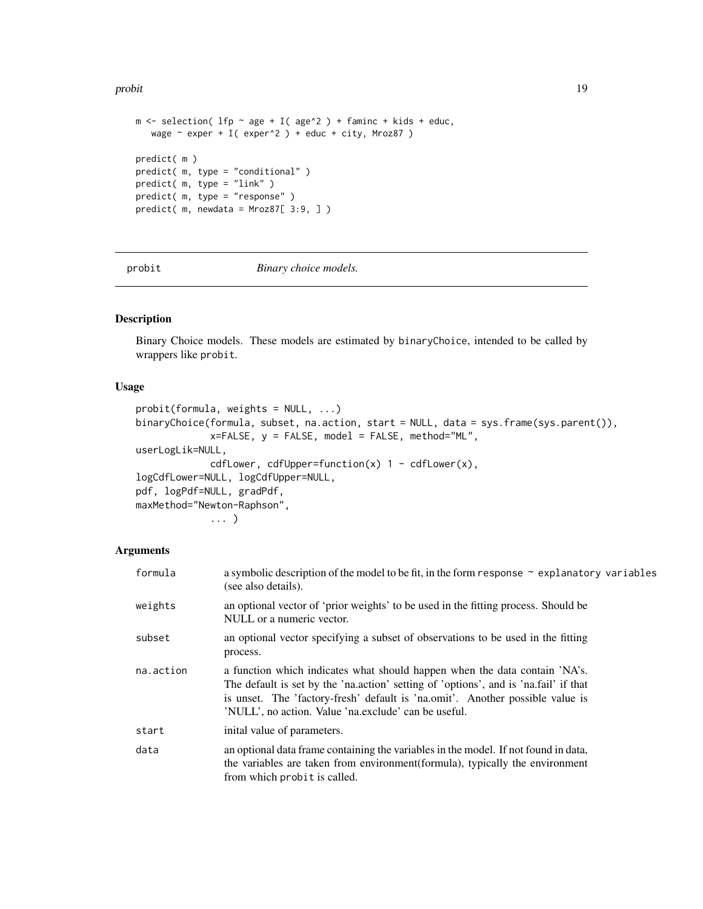#### <span id="page-18-0"></span>probit that the contract of the contract of the contract of the contract of the contract of the contract of the contract of the contract of the contract of the contract of the contract of the contract of the contract of th

```
m \le selection( lfp \sim age + I( age^2 ) + faminc + kids + educ,
  wage \sim exper + I( exper^2 ) + educ + city, Mroz87 )
predict( m )
predict( m, type = "conditional" )
predict( m, type = "link" )
predict( m, type = "response" )
predict( m, newdata = Mroz87[ 3:9, ] )
```
<span id="page-18-1"></span>

probit *Binary choice models.*

## <span id="page-18-2"></span>Description

Binary Choice models. These models are estimated by binaryChoice, intended to be called by wrappers like probit.

## Usage

```
probit(formula, weights = NULL, ...)binaryChoice(formula, subset, na.action, start = NULL, data = sys.frame(sys.parent()),
             x = FALSE, y = FALSE, model = FALSE, method="ML",
userLogLik=NULL,
             cdfLower, cdfUpper=function(x) 1 - \text{cdfLower}(x),
logCdfLower=NULL, logCdfUpper=NULL,
pdf, logPdf=NULL, gradPdf,
maxMethod="Newton-Raphson",
             ... )
```
### Arguments

| formula   | a symbolic description of the model to be fit, in the form response $\sim$ explanatory variables<br>(see also details).                                                                                                                                                                                     |
|-----------|-------------------------------------------------------------------------------------------------------------------------------------------------------------------------------------------------------------------------------------------------------------------------------------------------------------|
| weights   | an optional vector of 'prior weights' to be used in the fitting process. Should be<br>NULL or a numeric vector.                                                                                                                                                                                             |
| subset    | an optional vector specifying a subset of observations to be used in the fitting<br>process.                                                                                                                                                                                                                |
| na.action | a function which indicates what should happen when the data contain 'NA's.<br>The default is set by the 'na.action' setting of 'options', and is 'na.fail' if that<br>is unset. The 'factory-fresh' default is 'na.omit'. Another possible value is<br>'NULL', no action. Value 'na.exclude' can be useful. |
| start     | inital value of parameters.                                                                                                                                                                                                                                                                                 |
| data      | an optional data frame containing the variables in the model. If not found in data,<br>the variables are taken from environment(formula), typically the environment<br>from which probit is called.                                                                                                         |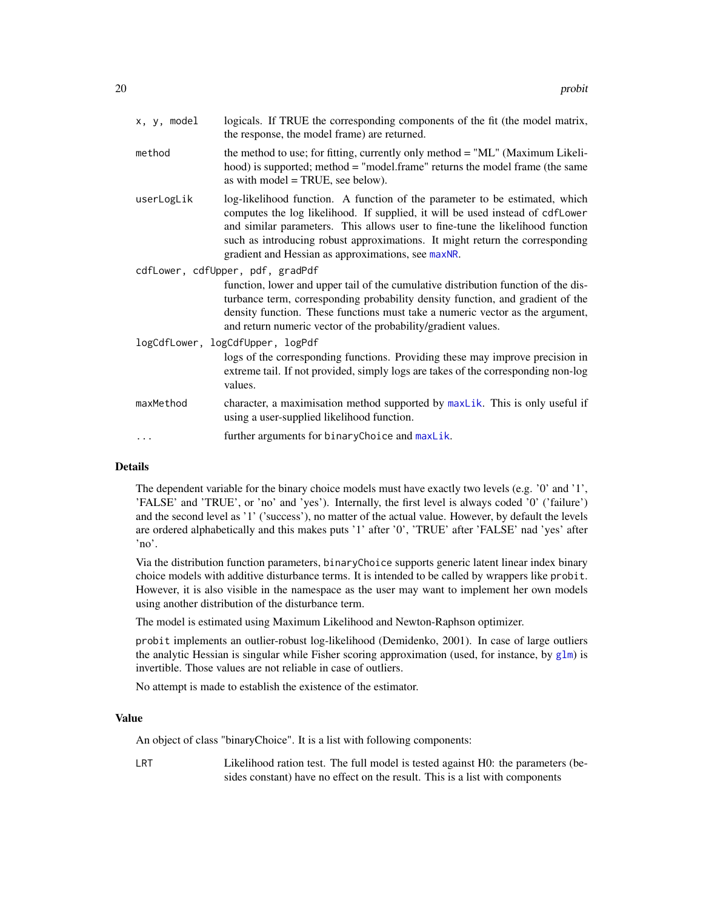<span id="page-19-0"></span>

| x, y, model | logicals. If TRUE the corresponding components of the fit (the model matrix,<br>the response, the model frame) are returned.                                                                                                                                                                                                                                                        |
|-------------|-------------------------------------------------------------------------------------------------------------------------------------------------------------------------------------------------------------------------------------------------------------------------------------------------------------------------------------------------------------------------------------|
| method      | the method to use; for fitting, currently only method = "ML" (Maximum Likeli-<br>hood) is supported; method = "model.frame" returns the model frame (the same<br>as with model $=$ TRUE, see below).                                                                                                                                                                                |
| userLogLik  | log-likelihood function. A function of the parameter to be estimated, which<br>computes the log likelihood. If supplied, it will be used instead of cdfLower<br>and similar parameters. This allows user to fine-tune the likelihood function<br>such as introducing robust approximations. It might return the corresponding<br>gradient and Hessian as approximations, see maxNR. |
|             | cdfLower, cdfUpper, pdf, gradPdf                                                                                                                                                                                                                                                                                                                                                    |
|             | function, lower and upper tail of the cumulative distribution function of the dis-<br>turbance term, corresponding probability density function, and gradient of the<br>density function. These functions must take a numeric vector as the argument,<br>and return numeric vector of the probability/gradient values.                                                              |
|             | logCdfLower, logCdfUpper, logPdf                                                                                                                                                                                                                                                                                                                                                    |
|             | logs of the corresponding functions. Providing these may improve precision in<br>extreme tail. If not provided, simply logs are takes of the corresponding non-log<br>values.                                                                                                                                                                                                       |
| maxMethod   | character, a maximisation method supported by maxLik. This is only useful if<br>using a user-supplied likelihood function.                                                                                                                                                                                                                                                          |
|             | further arguments for binaryChoice and maxLik.                                                                                                                                                                                                                                                                                                                                      |
|             |                                                                                                                                                                                                                                                                                                                                                                                     |

## Details

The dependent variable for the binary choice models must have exactly two levels (e.g. '0' and '1', 'FALSE' and 'TRUE', or 'no' and 'yes'). Internally, the first level is always coded '0' ('failure') and the second level as '1' ('success'), no matter of the actual value. However, by default the levels are ordered alphabetically and this makes puts '1' after '0', 'TRUE' after 'FALSE' nad 'yes' after 'no'.

Via the distribution function parameters, binaryChoice supports generic latent linear index binary choice models with additive disturbance terms. It is intended to be called by wrappers like probit. However, it is also visible in the namespace as the user may want to implement her own models using another distribution of the disturbance term.

The model is estimated using Maximum Likelihood and Newton-Raphson optimizer.

probit implements an outlier-robust log-likelihood (Demidenko, 2001). In case of large outliers the analytic Hessian is singular while Fisher scoring approximation (used, for instance, by [glm](#page-0-0)) is invertible. Those values are not reliable in case of outliers.

No attempt is made to establish the existence of the estimator.

#### Value

An object of class "binaryChoice". It is a list with following components:

LRT Likelihood ration test. The full model is tested against H0: the parameters (besides constant) have no effect on the result. This is a list with components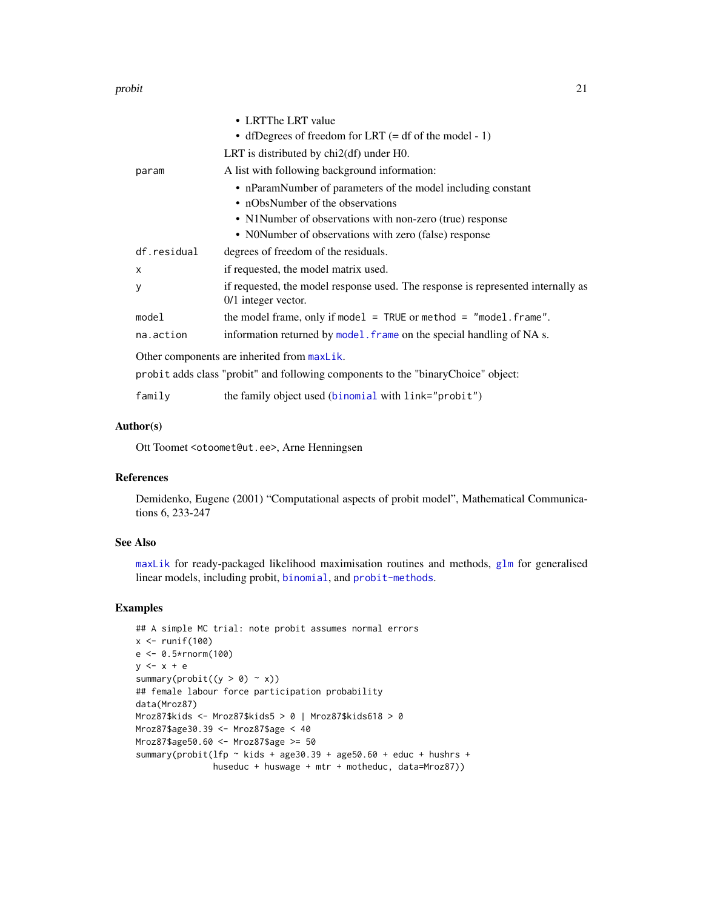#### <span id="page-20-0"></span>probit 21

|                                             | • LRTThe LRT value                                                                                        |  |
|---------------------------------------------|-----------------------------------------------------------------------------------------------------------|--|
|                                             | • dfDegrees of freedom for LRT $(= df \text{ of the model} - 1)$                                          |  |
|                                             | LRT is distributed by $chi2(df)$ under $H0$ .                                                             |  |
| param                                       | A list with following background information:                                                             |  |
|                                             | • nParamNumber of parameters of the model including constant                                              |  |
|                                             | • nObsNumber of the observations                                                                          |  |
|                                             | • N1Number of observations with non-zero (true) response                                                  |  |
|                                             | • NONumber of observations with zero (false) response                                                     |  |
| df.residual                                 | degrees of freedom of the residuals.                                                                      |  |
| x                                           | if requested, the model matrix used.                                                                      |  |
| У                                           | if requested, the model response used. The response is represented internally as<br>$0/1$ integer vector. |  |
| model                                       | the model frame, only if model = $TRUE$ or method = "model. frame".                                       |  |
| na.action                                   | information returned by model. frame on the special handling of NA s.                                     |  |
| Other components are inherited from maxLik. |                                                                                                           |  |
|                                             | probit adds class "probit" and following components to the "binaryChoice" object:                         |  |
| family                                      | the family object used (binomial with link="probit")                                                      |  |

## Author(s)

Ott Toomet <otoomet@ut.ee>, Arne Henningsen

#### References

Demidenko, Eugene (2001) "Computational aspects of probit model", Mathematical Communications 6, 233-247

## See Also

[maxLik](#page-0-0) for ready-packaged likelihood maximisation routines and methods, [glm](#page-0-0) for generalised linear models, including probit, [binomial](#page-0-0), and [probit-methods](#page-21-2).

#### Examples

```
## A simple MC trial: note probit assumes normal errors
x \leftarrow runif(100)e <- 0.5*rnorm(100)
y \leq -x + esummary(probit((y > 0) \sim x))
## female labour force participation probability
data(Mroz87)
Mroz87$kids <- Mroz87$kids5 > 0 | Mroz87$kids618 > 0
Mroz87$age30.39 <- Mroz87$age < 40
Mroz87$age50.60 <- Mroz87$age >= 50
summary(probit(lfp \sim kids + age30.39 + age50.60 + educ + hushrs +
               huseduc + huswage + mtr + motheduc, data=Mroz87))
```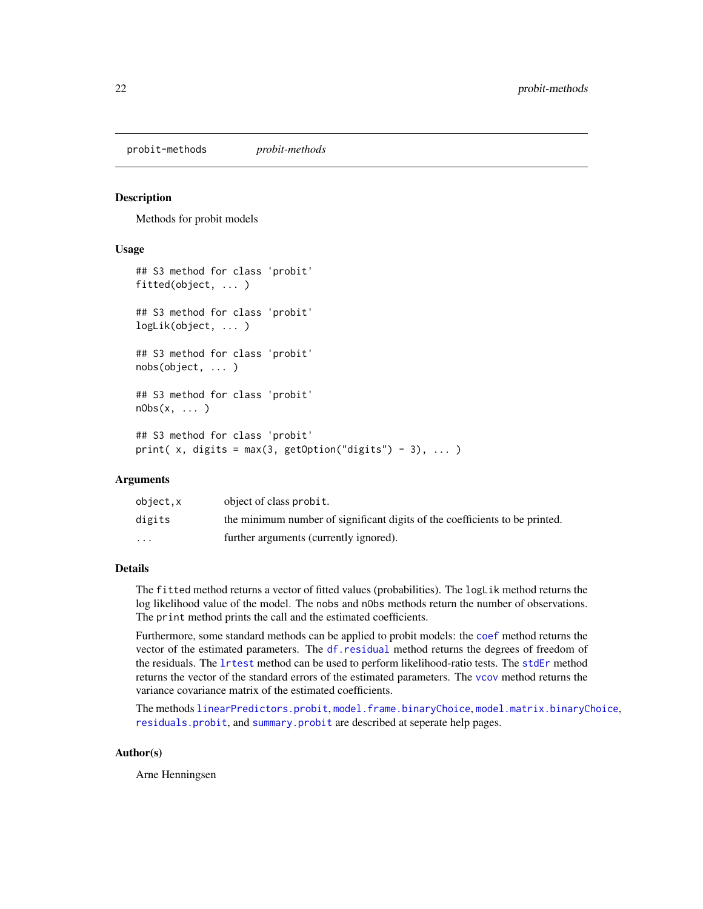<span id="page-21-2"></span><span id="page-21-0"></span>probit-methods *probit-methods*

#### <span id="page-21-1"></span>Description

Methods for probit models

#### Usage

```
## S3 method for class 'probit'
fitted(object, ... )
## S3 method for class 'probit'
logLik(object, ... )
## S3 method for class 'probit'
nobs(object, ... )
## S3 method for class 'probit'
nObs(x, \ldots)## S3 method for class 'probit'
print( x, digits = max(3, getOption("digits") - 3), \dots)
```
## Arguments

| object.x | object of class probit.                                                     |
|----------|-----------------------------------------------------------------------------|
| digits   | the minimum number of significant digits of the coefficients to be printed. |
| $\cdots$ | further arguments (currently ignored).                                      |

## Details

The fitted method returns a vector of fitted values (probabilities). The logLik method returns the log likelihood value of the model. The nobs and nObs methods return the number of observations. The print method prints the call and the estimated coefficients.

Furthermore, some standard methods can be applied to probit models: the [coef](#page-0-0) method returns the vector of the estimated parameters. The [df.residual](#page-0-0) method returns the degrees of freedom of the residuals. The [lrtest](#page-0-0) method can be used to perform likelihood-ratio tests. The [stdEr](#page-0-0) method returns the vector of the standard errors of the estimated parameters. The [vcov](#page-0-0) method returns the variance covariance matrix of the estimated coefficients.

The methods [linearPredictors.probit](#page-8-1), [model.frame.binaryChoice](#page-9-1), [model.matrix.binaryChoice](#page-11-1), [residuals.probit](#page-24-1), and [summary.probit](#page-35-1) are described at seperate help pages.

#### Author(s)

Arne Henningsen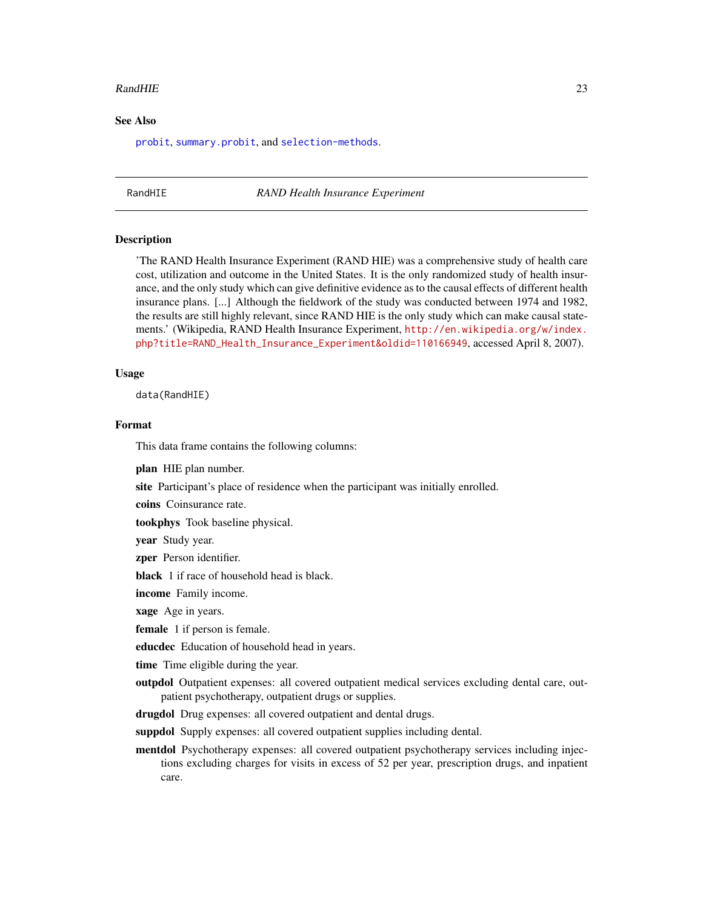#### <span id="page-22-0"></span>RandHIE 23

#### See Also

[probit](#page-18-1), [summary.probit](#page-35-1), and [selection-methods](#page-33-1).

<span id="page-22-1"></span>RandHIE *RAND Health Insurance Experiment*

#### Description

'The RAND Health Insurance Experiment (RAND HIE) was a comprehensive study of health care cost, utilization and outcome in the United States. It is the only randomized study of health insurance, and the only study which can give definitive evidence as to the causal effects of different health insurance plans. [...] Although the fieldwork of the study was conducted between 1974 and 1982, the results are still highly relevant, since RAND HIE is the only study which can make causal statements.' (Wikipedia, RAND Health Insurance Experiment, [http://en.wikipedia.org/w/index.](http://en.wikipedia.org/w/index.php?title=RAND_Health_Insurance_Experiment&oldid=110166949) [php?title=RAND\\_Health\\_Insurance\\_Experiment&oldid=110166949](http://en.wikipedia.org/w/index.php?title=RAND_Health_Insurance_Experiment&oldid=110166949), accessed April 8, 2007).

## Usage

data(RandHIE)

## Format

This data frame contains the following columns:

plan HIE plan number.

site Participant's place of residence when the participant was initially enrolled.

coins Coinsurance rate.

tookphys Took baseline physical.

year Study year.

zper Person identifier.

black 1 if race of household head is black.

income Family income.

xage Age in years.

**female** 1 if person is female.

educdec Education of household head in years.

time Time eligible during the year.

outpdol Outpatient expenses: all covered outpatient medical services excluding dental care, outpatient psychotherapy, outpatient drugs or supplies.

drugdol Drug expenses: all covered outpatient and dental drugs.

suppdol Supply expenses: all covered outpatient supplies including dental.

mentdol Psychotherapy expenses: all covered outpatient psychotherapy services including injections excluding charges for visits in excess of 52 per year, prescription drugs, and inpatient care.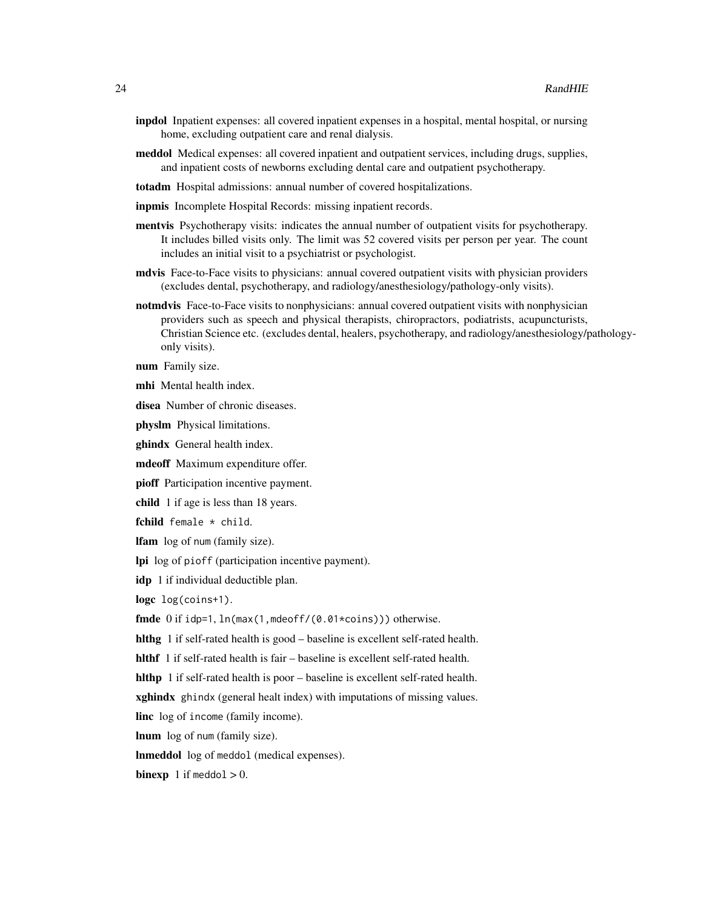- inpdol Inpatient expenses: all covered inpatient expenses in a hospital, mental hospital, or nursing home, excluding outpatient care and renal dialysis.
- meddol Medical expenses: all covered inpatient and outpatient services, including drugs, supplies, and inpatient costs of newborns excluding dental care and outpatient psychotherapy.
- totadm Hospital admissions: annual number of covered hospitalizations.
- inpmis Incomplete Hospital Records: missing inpatient records.
- mentvis Psychotherapy visits: indicates the annual number of outpatient visits for psychotherapy. It includes billed visits only. The limit was 52 covered visits per person per year. The count includes an initial visit to a psychiatrist or psychologist.
- mdvis Face-to-Face visits to physicians: annual covered outpatient visits with physician providers (excludes dental, psychotherapy, and radiology/anesthesiology/pathology-only visits).
- notmdvis Face-to-Face visits to nonphysicians: annual covered outpatient visits with nonphysician providers such as speech and physical therapists, chiropractors, podiatrists, acupuncturists, Christian Science etc. (excludes dental, healers, psychotherapy, and radiology/anesthesiology/pathologyonly visits).

num Family size.

mhi Mental health index.

disea Number of chronic diseases.

physlm Physical limitations.

ghindx General health index.

mdeoff Maximum expenditure offer.

pioff Participation incentive payment.

child 1 if age is less than 18 years.

fchild female \* child.

lfam log of num (family size).

lpi log of pioff (participation incentive payment).

idp 1 if individual deductible plan.

logc log(coins+1).

fmde 0 if idp=1, ln(max(1,mdeoff/(0.01\*coins))) otherwise.

hlthg 1 if self-rated health is good – baseline is excellent self-rated health.

hlthf 1 if self-rated health is fair – baseline is excellent self-rated health.

hlthp 1 if self-rated health is poor – baseline is excellent self-rated health.

**xghindx** ghindx (general healt index) with imputations of missing values.

linc log of income (family income).

lnum log of num (family size).

lnmeddol log of meddol (medical expenses).

**binexp** 1 if meddol  $> 0$ .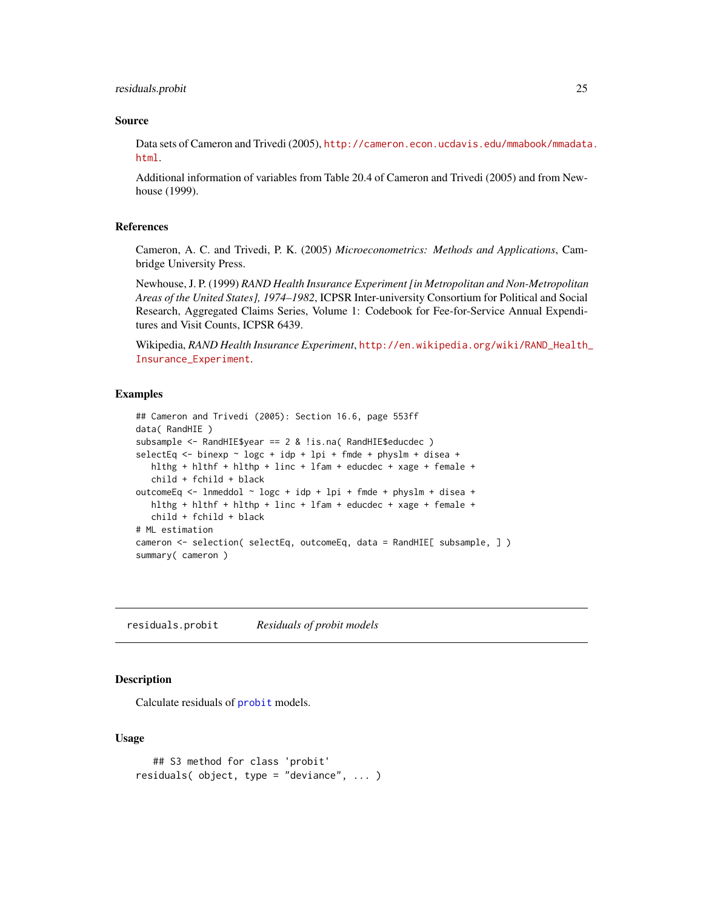### <span id="page-24-0"></span>residuals.probit 25

#### Source

Data sets of Cameron and Trivedi (2005), [http://cameron.econ.ucdavis.edu/mmabook/mmadata](http://cameron.econ.ucdavis.edu/mmabook/mmadata.html). [html](http://cameron.econ.ucdavis.edu/mmabook/mmadata.html).

Additional information of variables from Table 20.4 of Cameron and Trivedi (2005) and from Newhouse (1999).

#### References

Cameron, A. C. and Trivedi, P. K. (2005) *Microeconometrics: Methods and Applications*, Cambridge University Press.

Newhouse, J. P. (1999) *RAND Health Insurance Experiment [in Metropolitan and Non-Metropolitan Areas of the United States], 1974–1982*, ICPSR Inter-university Consortium for Political and Social Research, Aggregated Claims Series, Volume 1: Codebook for Fee-for-Service Annual Expenditures and Visit Counts, ICPSR 6439.

Wikipedia, *RAND Health Insurance Experiment*, [http://en.wikipedia.org/wiki/RAND\\_Health\\_](http://en.wikipedia.org/wiki/RAND_Health_Insurance_Experiment) [Insurance\\_Experiment](http://en.wikipedia.org/wiki/RAND_Health_Insurance_Experiment).

#### Examples

```
## Cameron and Trivedi (2005): Section 16.6, page 553ff
data( RandHIE )
subsample <- RandHIE$year == 2 & !is.na( RandHIE$educdec )
selectEq <- binexp ~ logc + idp + lpi + fmde + physlm + disea +
  hlthg + hlthf + hlthp + linc + lfam + educdec + xage + female +
   child + fchild + black
outcomeEq <- lnmeddol ~ logc + idp + lpi + fmde + physlm + disea +
  hlthg + hlthf + hlthp + linc + lfam + educdec + xage + female +
  child + fchild + black
# ML estimation
cameron <- selection( selectEq, outcomeEq, data = RandHIE[ subsample, ] )
summary( cameron )
```
<span id="page-24-1"></span>residuals.probit *Residuals of probit models*

## Description

Calculate residuals of [probit](#page-18-1) models.

#### Usage

```
## S3 method for class 'probit'
residuals( object, type = "deviance", ... )
```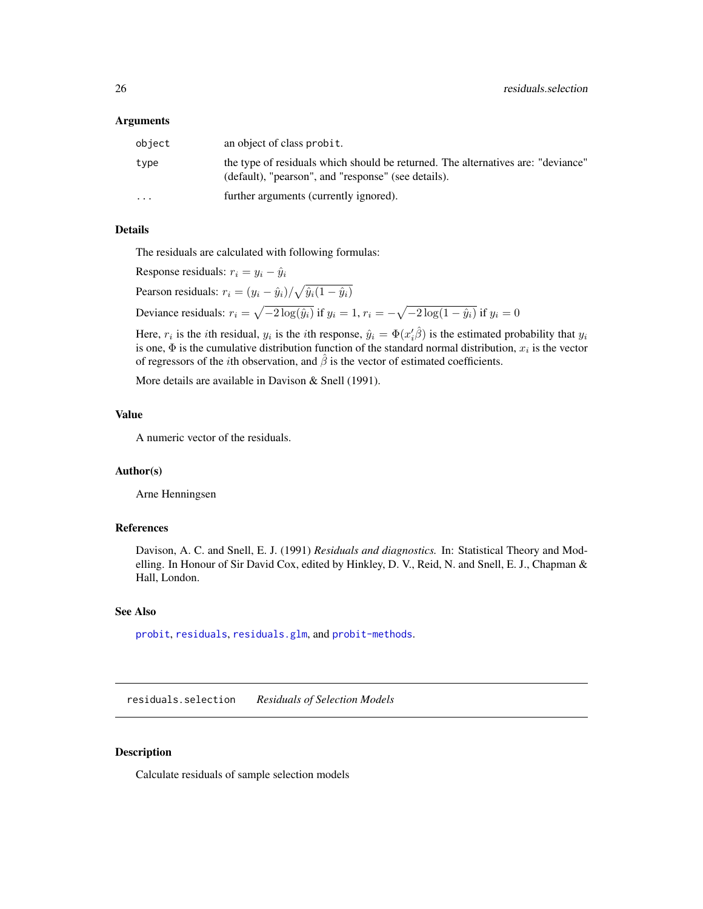#### <span id="page-25-0"></span>Arguments

| object    | an object of class probit.                                                                                                              |
|-----------|-----------------------------------------------------------------------------------------------------------------------------------------|
| type      | the type of residuals which should be returned. The alternatives are: "deviance"<br>(default), "pearson", and "response" (see details). |
| $\ddotsc$ | further arguments (currently ignored).                                                                                                  |

## Details

The residuals are calculated with following formulas:

Response residuals:  $r_i = y_i - \hat{y}_i$ Pearson residuals:  $r_i = (y_i - \hat{y}_i) / \sqrt{\hat{y}_i(1 - \hat{y}_i)}$ Deviance residuals:  $r_i = \sqrt{-2 \log(\hat{y}_i)}$  if  $y_i = 1$ ,  $r_i = -\sqrt{-2 \log(1 - \hat{y}_i)}$  if  $y_i = 0$ 

Here,  $r_i$  is the *i*th residual,  $y_i$  is the *i*th response,  $\hat{y}_i = \Phi(x'_i)\hat{\beta}$  is the estimated probability that  $y_i$ is one,  $\Phi$  is the cumulative distribution function of the standard normal distribution,  $x_i$  is the vector of regressors of the *i*th observation, and  $\hat{\beta}$  is the vector of estimated coefficients.

More details are available in Davison & Snell (1991).

#### Value

A numeric vector of the residuals.

#### Author(s)

Arne Henningsen

## References

Davison, A. C. and Snell, E. J. (1991) *Residuals and diagnostics.* In: Statistical Theory and Modelling. In Honour of Sir David Cox, edited by Hinkley, D. V., Reid, N. and Snell, E. J., Chapman & Hall, London.

## See Also

[probit](#page-18-1), [residuals](#page-0-0), [residuals.glm](#page-0-0), and [probit-methods](#page-21-2).

<span id="page-25-1"></span>residuals.selection *Residuals of Selection Models*

## Description

Calculate residuals of sample selection models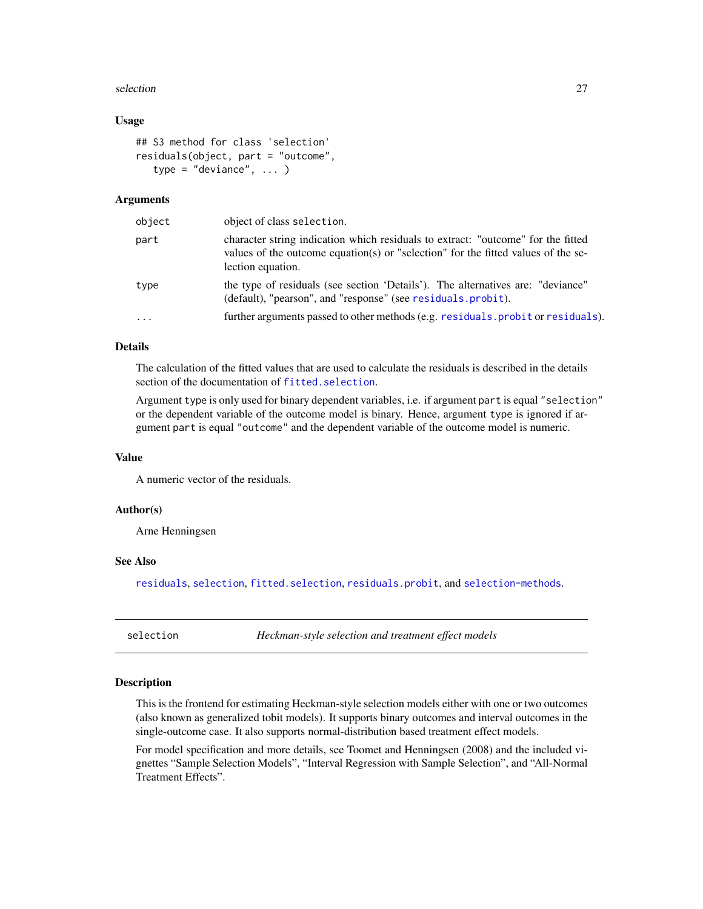#### <span id="page-26-0"></span>selection 27

#### Usage

```
## S3 method for class 'selection'
residuals(object, part = "outcome",
   type = "deviance", ... )
```
#### Arguments

| object   | object of class selection.                                                                                                                                                                 |
|----------|--------------------------------------------------------------------------------------------------------------------------------------------------------------------------------------------|
| part     | character string indication which residuals to extract: "outcome" for the fitted<br>values of the outcome equation(s) or "selection" for the fitted values of the se-<br>lection equation. |
| type     | the type of residuals (see section 'Details'). The alternatives are: "deviance"<br>(default), "pearson", and "response" (see residuals.probit).                                            |
| $\cdots$ | further arguments passed to other methods (e.g. residuals. probit or residuals).                                                                                                           |

## Details

The calculation of the fitted values that are used to calculate the residuals is described in the details section of the documentation of [fitted.selection](#page-2-1).

Argument type is only used for binary dependent variables, i.e. if argument part is equal "selection" or the dependent variable of the outcome model is binary. Hence, argument type is ignored if argument part is equal "outcome" and the dependent variable of the outcome model is numeric.

#### Value

A numeric vector of the residuals.

## Author(s)

Arne Henningsen

## See Also

[residuals](#page-0-0), [selection](#page-26-1), [fitted.selection](#page-2-1), [residuals.probit](#page-24-1), and [selection-methods](#page-33-1).

<span id="page-26-1"></span>selection *Heckman-style selection and treatment effect models*

#### <span id="page-26-2"></span>**Description**

This is the frontend for estimating Heckman-style selection models either with one or two outcomes (also known as generalized tobit models). It supports binary outcomes and interval outcomes in the single-outcome case. It also supports normal-distribution based treatment effect models.

For model specification and more details, see Toomet and Henningsen (2008) and the included vignettes "Sample Selection Models", "Interval Regression with Sample Selection", and "All-Normal Treatment Effects".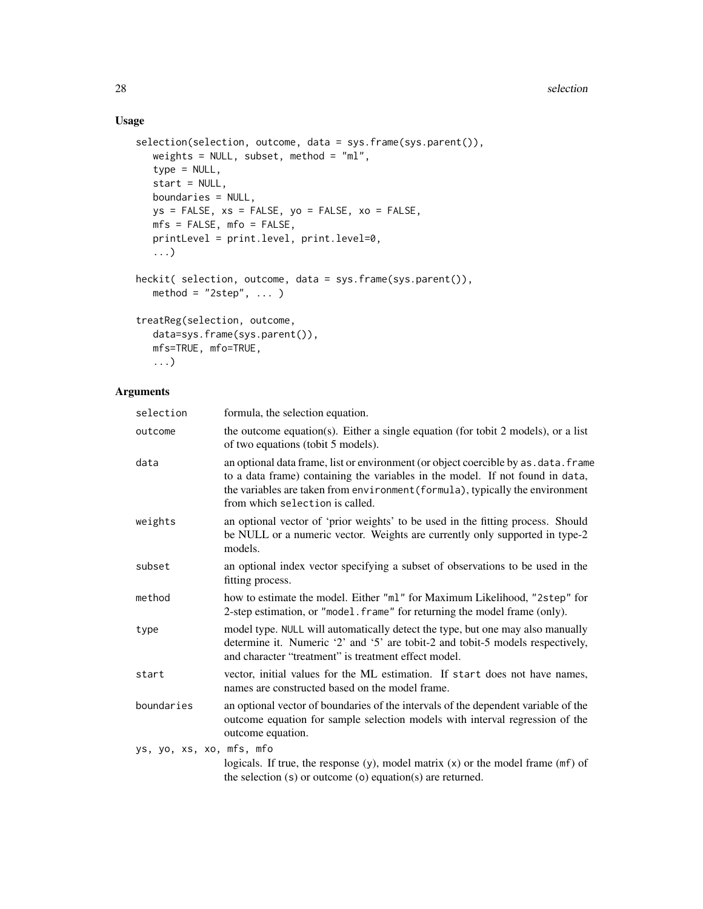## Usage

```
selection(selection, outcome, data = sys.frame(sys.parent()),
   weights = NULL, subset, method = "ml",
   type = NULL,
   start = NULL,
   boundaries = NULL,
   ys = FALSE, xs = FALSE, yo = FALSE, xo = FALSE,mfs = FALSE, mfo = FALSE,
   printLevel = print.level, print.level=0,
   ...)
heckit( selection, outcome, data = sys.frame(sys.parent()),
  method = "2step", ... )treatReg(selection, outcome,
   data=sys.frame(sys.parent()),
   mfs=TRUE, mfo=TRUE,
   ...)
```
## Arguments

| selection                | formula, the selection equation.                                                                                                                                                                                                                                                          |
|--------------------------|-------------------------------------------------------------------------------------------------------------------------------------------------------------------------------------------------------------------------------------------------------------------------------------------|
| outcome                  | the outcome equation(s). Either a single equation (for tobit 2 models), or a list<br>of two equations (tobit 5 models).                                                                                                                                                                   |
| data                     | an optional data frame, list or environment (or object coercible by as . data. frame<br>to a data frame) containing the variables in the model. If not found in data,<br>the variables are taken from environment (formula), typically the environment<br>from which selection is called. |
| weights                  | an optional vector of 'prior weights' to be used in the fitting process. Should<br>be NULL or a numeric vector. Weights are currently only supported in type-2<br>models.                                                                                                                 |
| subset                   | an optional index vector specifying a subset of observations to be used in the<br>fitting process.                                                                                                                                                                                        |
| method                   | how to estimate the model. Either "ml" for Maximum Likelihood, "2step" for<br>2-step estimation, or "model. frame" for returning the model frame (only).                                                                                                                                  |
| type                     | model type. NULL will automatically detect the type, but one may also manually<br>determine it. Numeric '2' and '5' are tobit-2 and tobit-5 models respectively,<br>and character "treatment" is treatment effect model.                                                                  |
| start                    | vector, initial values for the ML estimation. If start does not have names,<br>names are constructed based on the model frame.                                                                                                                                                            |
| boundaries               | an optional vector of boundaries of the intervals of the dependent variable of the<br>outcome equation for sample selection models with interval regression of the<br>outcome equation.                                                                                                   |
| ys, yo, xs, xo, mfs, mfo | logicals. If true, the response $(y)$ , model matrix $(x)$ or the model frame $(mf)$ of<br>the selection $(s)$ or outcome $(o)$ equation $(s)$ are returned.                                                                                                                              |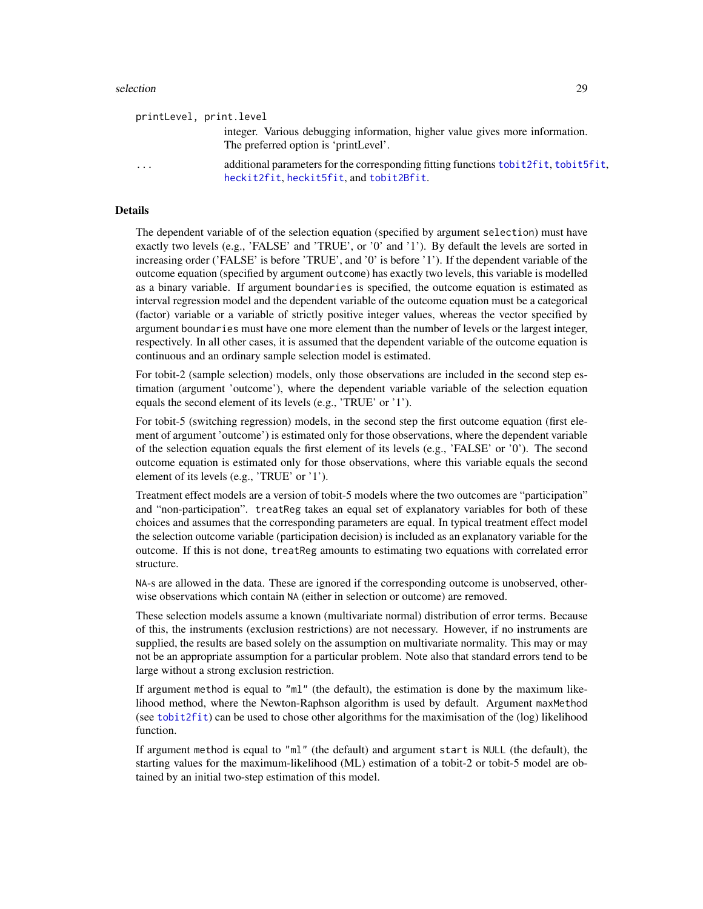#### <span id="page-28-0"></span>selection 29

|                         | printLevel, print.level                                                                                                              |
|-------------------------|--------------------------------------------------------------------------------------------------------------------------------------|
|                         | integer. Various debugging information, higher value gives more information.<br>The preferred option is 'printLevel'.                |
| $\cdot$ $\cdot$ $\cdot$ | additional parameters for the corresponding fitting functions to bit 2f it, to bit 5f it,<br>heckit2fit, heckit5fit, and tobit2Bfit. |
|                         |                                                                                                                                      |

#### Details

The dependent variable of of the selection equation (specified by argument selection) must have exactly two levels (e.g., 'FALSE' and 'TRUE', or '0' and '1'). By default the levels are sorted in increasing order ('FALSE' is before 'TRUE', and '0' is before '1'). If the dependent variable of the outcome equation (specified by argument outcome) has exactly two levels, this variable is modelled as a binary variable. If argument boundaries is specified, the outcome equation is estimated as interval regression model and the dependent variable of the outcome equation must be a categorical (factor) variable or a variable of strictly positive integer values, whereas the vector specified by argument boundaries must have one more element than the number of levels or the largest integer, respectively. In all other cases, it is assumed that the dependent variable of the outcome equation is continuous and an ordinary sample selection model is estimated.

For tobit-2 (sample selection) models, only those observations are included in the second step estimation (argument 'outcome'), where the dependent variable variable of the selection equation equals the second element of its levels (e.g., 'TRUE' or '1').

For tobit-5 (switching regression) models, in the second step the first outcome equation (first element of argument 'outcome') is estimated only for those observations, where the dependent variable of the selection equation equals the first element of its levels (e.g., 'FALSE' or '0'). The second outcome equation is estimated only for those observations, where this variable equals the second element of its levels (e.g., 'TRUE' or '1').

Treatment effect models are a version of tobit-5 models where the two outcomes are "participation" and "non-participation". treatReg takes an equal set of explanatory variables for both of these choices and assumes that the corresponding parameters are equal. In typical treatment effect model the selection outcome variable (participation decision) is included as an explanatory variable for the outcome. If this is not done, treatReg amounts to estimating two equations with correlated error structure.

NA-s are allowed in the data. These are ignored if the corresponding outcome is unobserved, otherwise observations which contain NA (either in selection or outcome) are removed.

These selection models assume a known (multivariate normal) distribution of error terms. Because of this, the instruments (exclusion restrictions) are not necessary. However, if no instruments are supplied, the results are based solely on the assumption on multivariate normality. This may or may not be an appropriate assumption for a particular problem. Note also that standard errors tend to be large without a strong exclusion restriction.

If argument method is equal to "ml" (the default), the estimation is done by the maximum likelihood method, where the Newton-Raphson algorithm is used by default. Argument maxMethod (see [tobit2fit](#page-0-0)) can be used to chose other algorithms for the maximisation of the (log) likelihood function.

If argument method is equal to "ml" (the default) and argument start is NULL (the default), the starting values for the maximum-likelihood (ML) estimation of a tobit-2 or tobit-5 model are obtained by an initial two-step estimation of this model.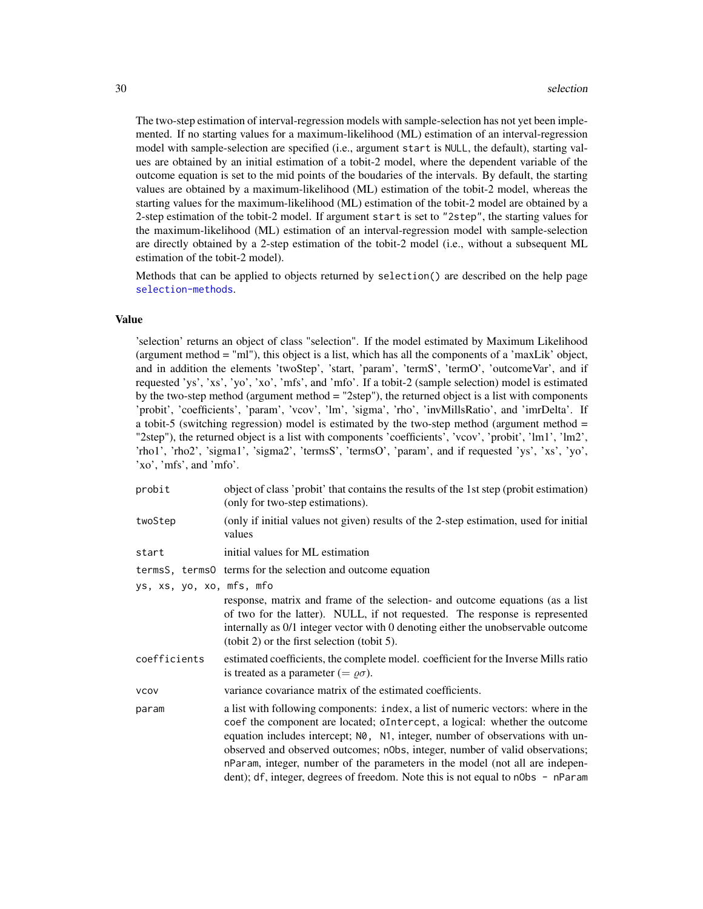The two-step estimation of interval-regression models with sample-selection has not yet been implemented. If no starting values for a maximum-likelihood (ML) estimation of an interval-regression model with sample-selection are specified (i.e., argument start is NULL, the default), starting values are obtained by an initial estimation of a tobit-2 model, where the dependent variable of the outcome equation is set to the mid points of the boudaries of the intervals. By default, the starting values are obtained by a maximum-likelihood (ML) estimation of the tobit-2 model, whereas the starting values for the maximum-likelihood (ML) estimation of the tobit-2 model are obtained by a 2-step estimation of the tobit-2 model. If argument start is set to "2step", the starting values for the maximum-likelihood (ML) estimation of an interval-regression model with sample-selection are directly obtained by a 2-step estimation of the tobit-2 model (i.e., without a subsequent ML estimation of the tobit-2 model).

Methods that can be applied to objects returned by selection() are described on the help page [selection-methods](#page-33-1).

#### Value

'selection' returns an object of class "selection". If the model estimated by Maximum Likelihood (argument method = "ml"), this object is a list, which has all the components of a 'maxLik' object, and in addition the elements 'twoStep', 'start, 'param', 'termS', 'termO', 'outcomeVar', and if requested 'ys', 'xs', 'yo', 'xo', 'mfs', and 'mfo'. If a tobit-2 (sample selection) model is estimated by the two-step method (argument method = "2step"), the returned object is a list with components 'probit', 'coefficients', 'param', 'vcov', 'lm', 'sigma', 'rho', 'invMillsRatio', and 'imrDelta'. If a tobit-5 (switching regression) model is estimated by the two-step method (argument method = "2step"), the returned object is a list with components 'coefficients', 'vcov', 'probit', 'lm1', 'lm2', 'rho1', 'rho2', 'sigma1', 'sigma2', 'termsS', 'termsO', 'param', and if requested 'ys', 'xs', 'yo', 'xo', 'mfs', and 'mfo'.

| probit                   | object of class 'probit' that contains the results of the 1st step (probit estimation)<br>(only for two-step estimations).                                                                                                                                                                                                                                                                                                                                                                         |
|--------------------------|----------------------------------------------------------------------------------------------------------------------------------------------------------------------------------------------------------------------------------------------------------------------------------------------------------------------------------------------------------------------------------------------------------------------------------------------------------------------------------------------------|
| twoStep                  | (only if initial values not given) results of the 2-step estimation, used for initial<br>values                                                                                                                                                                                                                                                                                                                                                                                                    |
| start                    | initial values for ML estimation                                                                                                                                                                                                                                                                                                                                                                                                                                                                   |
|                          | terms S, terms 0 terms for the selection and outcome equation                                                                                                                                                                                                                                                                                                                                                                                                                                      |
| ys, xs, yo, xo, mfs, mfo | response, matrix and frame of the selection- and outcome equations (as a list<br>of two for the latter). NULL, if not requested. The response is represented<br>internally as 0/1 integer vector with 0 denoting either the unobservable outcome<br>$(tobit 2)$ or the first selection (tobit 5).                                                                                                                                                                                                  |
| coefficients             | estimated coefficients, the complete model. coefficient for the Inverse Mills ratio<br>is treated as a parameter (= $\varrho \sigma$ ).                                                                                                                                                                                                                                                                                                                                                            |
| <b>VCOV</b>              | variance covariance matrix of the estimated coefficients.                                                                                                                                                                                                                                                                                                                                                                                                                                          |
| param                    | a list with following components: index, a list of numeric vectors: where in the<br>coef the component are located; oIntercept, a logical: whether the outcome<br>equation includes intercept; N0, N1, integer, number of observations with un-<br>observed and observed outcomes; n0bs, integer, number of valid observations;<br>nParam, integer, number of the parameters in the model (not all are indepen-<br>dent); df, integer, degrees of freedom. Note this is not equal to n0bs - nParam |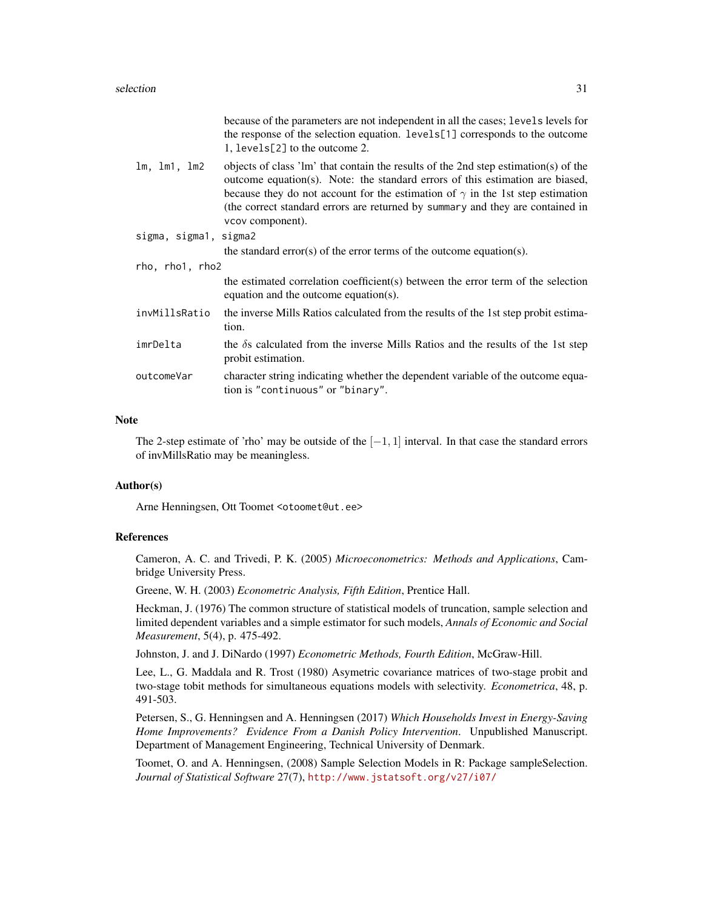#### selection 31

|                       | because of the parameters are not independent in all the cases; levels levels for<br>the response of the selection equation. levels[1] corresponds to the outcome<br>1, levels[2] to the outcome 2.                                                                                                                                                                 |  |
|-----------------------|---------------------------------------------------------------------------------------------------------------------------------------------------------------------------------------------------------------------------------------------------------------------------------------------------------------------------------------------------------------------|--|
| lm, lm1, lm2          | objects of class 'lm' that contain the results of the 2nd step estimation(s) of the<br>outcome equation(s). Note: the standard errors of this estimation are biased,<br>because they do not account for the estimation of $\gamma$ in the 1st step estimation<br>(the correct standard errors are returned by summary and they are contained in<br>vcov component). |  |
| sigma, sigma1, sigma2 |                                                                                                                                                                                                                                                                                                                                                                     |  |
|                       | the standard error(s) of the error terms of the outcome equation(s).                                                                                                                                                                                                                                                                                                |  |
| rho, rho1, rho2       |                                                                                                                                                                                                                                                                                                                                                                     |  |
|                       | the estimated correlation coefficient(s) between the error term of the selection<br>equation and the outcome equation(s).                                                                                                                                                                                                                                           |  |
| invMillsRatio         | the inverse Mills Ratios calculated from the results of the 1st step probit estima-<br>tion.                                                                                                                                                                                                                                                                        |  |
| imrDelta              | the $\delta$ s calculated from the inverse Mills Ratios and the results of the 1st step<br>probit estimation.                                                                                                                                                                                                                                                       |  |
| outcomeVar            | character string indicating whether the dependent variable of the outcome equa-<br>tion is "continuous" or "binary".                                                                                                                                                                                                                                                |  |
|                       |                                                                                                                                                                                                                                                                                                                                                                     |  |

## Note

The 2-step estimate of 'rho' may be outside of the  $[-1, 1]$  interval. In that case the standard errors of invMillsRatio may be meaningless.

#### Author(s)

Arne Henningsen, Ott Toomet <otoomet@ut.ee>

## References

Cameron, A. C. and Trivedi, P. K. (2005) *Microeconometrics: Methods and Applications*, Cambridge University Press.

Greene, W. H. (2003) *Econometric Analysis, Fifth Edition*, Prentice Hall.

Heckman, J. (1976) The common structure of statistical models of truncation, sample selection and limited dependent variables and a simple estimator for such models, *Annals of Economic and Social Measurement*, 5(4), p. 475-492.

Johnston, J. and J. DiNardo (1997) *Econometric Methods, Fourth Edition*, McGraw-Hill.

Lee, L., G. Maddala and R. Trost (1980) Asymetric covariance matrices of two-stage probit and two-stage tobit methods for simultaneous equations models with selectivity. *Econometrica*, 48, p. 491-503.

Petersen, S., G. Henningsen and A. Henningsen (2017) *Which Households Invest in Energy-Saving Home Improvements? Evidence From a Danish Policy Intervention*. Unpublished Manuscript. Department of Management Engineering, Technical University of Denmark.

Toomet, O. and A. Henningsen, (2008) Sample Selection Models in R: Package sampleSelection. *Journal of Statistical Software* 27(7), <http://www.jstatsoft.org/v27/i07/>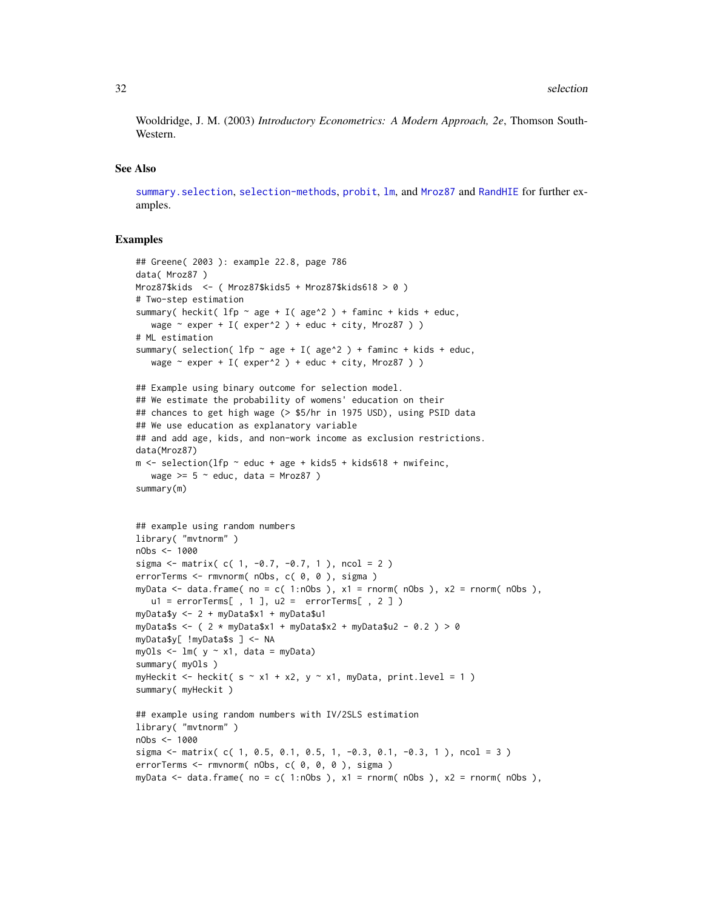<span id="page-31-0"></span>Wooldridge, J. M. (2003) *Introductory Econometrics: A Modern Approach, 2e*, Thomson South-Western.

#### See Also

[summary.selection](#page-36-1), [selection-methods](#page-33-1), [probit](#page-18-1), [lm](#page-0-0), and [Mroz87](#page-12-1) and [RandHIE](#page-22-1) for further examples.

#### Examples

```
## Greene( 2003 ): example 22.8, page 786
data( Mroz87 )
Mroz87$kids <- ( Mroz87$kids5 + Mroz87$kids618 > 0 )
# Two-step estimation
summary( heckit( lfp \sim age + I( age<sup>2</sup>) + faminc + kids + educ,
  wage \sim exper + I( exper<sup>^2</sup> ) + educ + city, Mroz87 ) )
# ML estimation
summary( selection( lfp \sim age + I( age\gamma ) + faminc + kids + educ,
   wage \sim exper + I( exper^2 ) + educ + city, Mroz87 ) )
## Example using binary outcome for selection model.
## We estimate the probability of womens' education on their
## chances to get high wage (> $5/hr in 1975 USD), using PSID data
## We use education as explanatory variable
## and add age, kids, and non-work income as exclusion restrictions.
data(Mroz87)
m \le - selection(lfp \sim educ + age + kids5 + kids618 + nwifeinc,
   wage >= 5 \sim educ, data = Mroz87 )
summary(m)
## example using random numbers
library( "mvtnorm" )
nObs <- 1000
sigma <- matrix( c( 1, -0.7, -0.7, 1 ), ncol = 2 )
errorTerms <- rmvnorm( nObs, c( 0, 0 ), sigma )
myData \le data.frame( no = c( 1:nObs ), x1 = rnorm( nObs ), x2 = rnorm( nObs ),
   ul = errorTerms[ , 1 ], ul = errorTerm[ , 2 ] )myData$y <- 2 + myData$x1 + myData$u1
myData$s <- ( 2 * myData$x1 + myData$x2 + myData$u2 - 0.2 ) > 0
myData$y[ !myData$s ] <- NA
myOls \leq - \ln( y \sim x1, \text{ data = myData})summary( myOls )
myHeckit <- heckit( s \sim x1 + x2, y \sim x1, myData, print.level = 1)
summary( myHeckit )
## example using random numbers with IV/2SLS estimation
library( "mvtnorm" )
nObs <- 1000
sigma <- matrix( c( 1, 0.5, 0.1, 0.5, 1, -0.3, 0.1, -0.3, 1), ncol = 3)
errorTerms <- rmvnorm( nObs, c( 0, 0, 0 ), sigma )
myData \leq data.frame( no = c( 1:nObs ), x1 = rnorm( nObs ), x2 = rnorm( nObs ),
```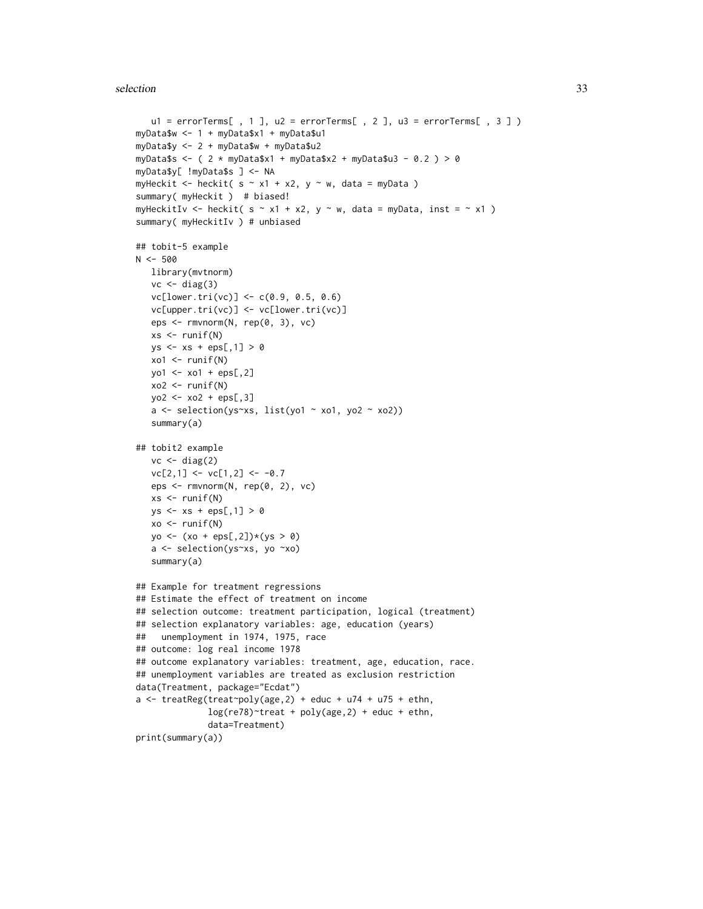#### selection 33

```
u1 = errorTerms[, 1], u2 = errorTerms[, 2], u3 = errorTerms[, 3])
myData$w <- 1 + myData$x1 + myData$u1
myData$y <- 2 + myData$w + myData$u2
myData$s <- ( 2 * myData$x1 + myData$x2 + myData$u3 - 0.2 ) > 0
myData$y[ !myData$s ] <- NA
myHeckit <- heckit( s \sim x1 + x2, y \sim w, data = myData )
summary( myHeckit ) # biased!
myHeckitIv <- heckit( s \sim x1 + x2, y \sim w, data = myData, inst = \sim x1)
summary( myHeckitIv ) # unbiased
## tobit-5 example
N < -500library(mvtnorm)
   vc \leftarrow diag(3)vc[lower.tri(vc)] < -c(0.9, 0.5, 0.6)vc[upper.tri(vc)] <- vc[lower.tri(vc)]
   eps <- rmvnorm(N, rep(0, 3), vc)
   xs < - runif(N)ys <- xs + eps[,1] > 0
   xo1 <- runif(N)
   yo1 <- xo1 + eps[,2]
   xo2 < - runif(N)yo2 <- xo2 + eps[,3]
   a <- selection(ys~xs, list(yo1 ~ xo1, yo2 ~ xo2))
   summary(a)
## tobit2 example
   vc \leftarrow diag(2)vc[2,1] <- vc[1,2] <- -0.7
   eps <- rmvnorm(N, rep(0, 2), vc)
   xs < -runif(N)ys <- xs + eps[,1] > 0
   xo < -runif(N)yo \leftarrow (xo + eps[, 2]) * (ys > 0)a <- selection(ys~xs, yo ~xo)
   summary(a)
## Example for treatment regressions
## Estimate the effect of treatment on income
## selection outcome: treatment participation, logical (treatment)
## selection explanatory variables: age, education (years)
## unemployment in 1974, 1975, race
## outcome: log real income 1978
## outcome explanatory variables: treatment, age, education, race.
## unemployment variables are treated as exclusion restriction
data(Treatment, package="Ecdat")
a <- treatReg(treat~poly(age,2) + educ + u74 + u75 + ethn,
              log(re78)~treat + poly(age,2) + educ + ethn,
              data=Treatment)
print(summary(a))
```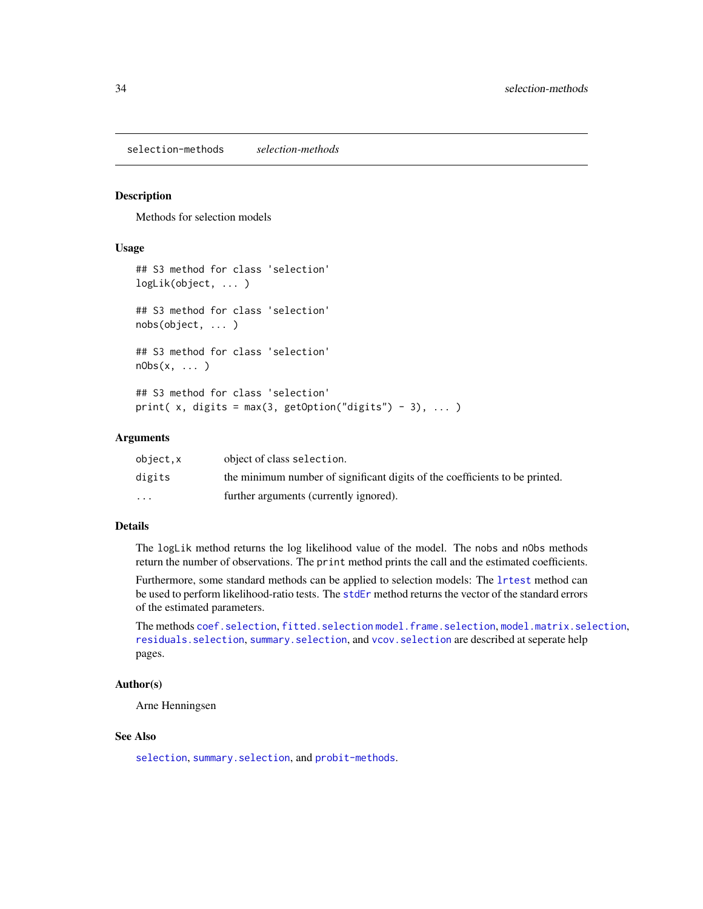<span id="page-33-1"></span><span id="page-33-0"></span>selection-methods *selection-methods*

#### Description

Methods for selection models

#### Usage

```
## S3 method for class 'selection'
logLik(object, ... )
## S3 method for class 'selection'
nobs(object, ... )
## S3 method for class 'selection'
nObs(x, \ldots)## S3 method for class 'selection'
print(x, digits = max(3, getOption("digits") - 3), ... )
```
### Arguments

| object.x | object of class selection.                                                  |
|----------|-----------------------------------------------------------------------------|
| digits   | the minimum number of significant digits of the coefficients to be printed. |
| $\cdots$ | further arguments (currently ignored).                                      |

## Details

The logLik method returns the log likelihood value of the model. The nobs and nObs methods return the number of observations. The print method prints the call and the estimated coefficients.

Furthermore, some standard methods can be applied to selection models: The [lrtest](#page-0-0) method can be used to perform likelihood-ratio tests. The [stdEr](#page-0-0) method returns the vector of the standard errors of the estimated parameters.

The methods [coef.selection](#page-1-1), [fitted.selection](#page-2-1) [model.frame.selection](#page-10-1), [model.matrix.selection](#page-11-2), [residuals.selection](#page-25-1), [summary.selection](#page-36-1), and [vcov.selection](#page-37-1) are described at seperate help pages.

#### Author(s)

Arne Henningsen

## See Also

[selection](#page-26-1), [summary.selection](#page-36-1), and [probit-methods](#page-21-2).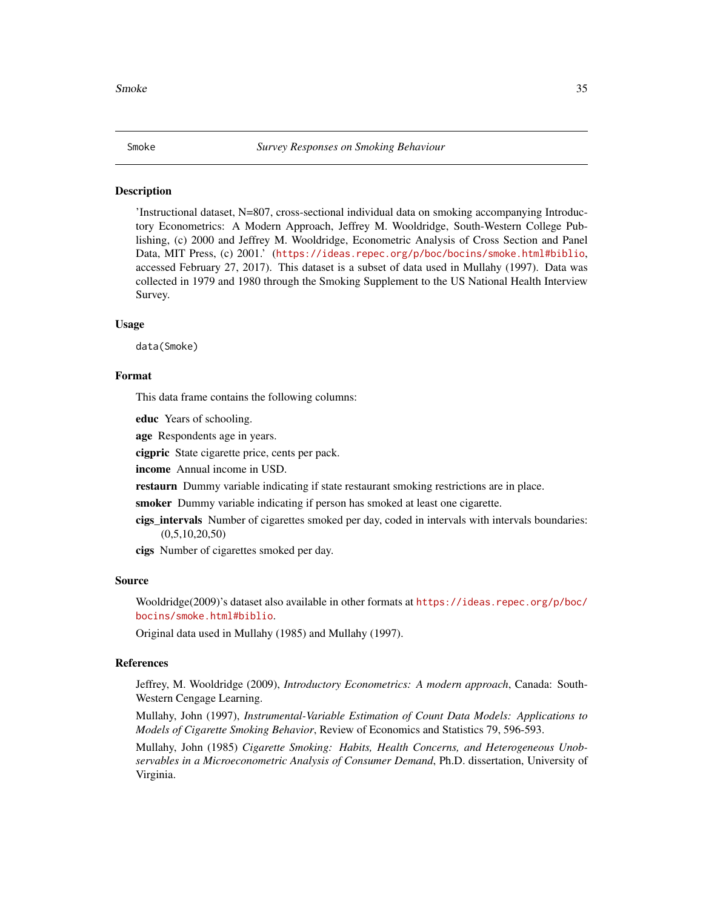#### <span id="page-34-0"></span>Description

'Instructional dataset, N=807, cross-sectional individual data on smoking accompanying Introductory Econometrics: A Modern Approach, Jeffrey M. Wooldridge, South-Western College Publishing, (c) 2000 and Jeffrey M. Wooldridge, Econometric Analysis of Cross Section and Panel Data, MIT Press, (c) 2001.' (<https://ideas.repec.org/p/boc/bocins/smoke.html#biblio>, accessed February 27, 2017). This dataset is a subset of data used in Mullahy (1997). Data was collected in 1979 and 1980 through the Smoking Supplement to the US National Health Interview Survey.

#### Usage

data(Smoke)

## Format

This data frame contains the following columns:

educ Years of schooling.

age Respondents age in years.

cigpric State cigarette price, cents per pack.

income Annual income in USD.

restaurn Dummy variable indicating if state restaurant smoking restrictions are in place.

smoker Dummy variable indicating if person has smoked at least one cigarette.

cigs\_intervals Number of cigarettes smoked per day, coded in intervals with intervals boundaries:  $(0,5,10,20,50)$ 

cigs Number of cigarettes smoked per day.

#### Source

Wooldridge(2009)'s dataset also available in other formats at [https://ideas.repec.org/p/boc/](https://ideas.repec.org/p/boc/bocins/smoke.html#biblio) [bocins/smoke.html#biblio](https://ideas.repec.org/p/boc/bocins/smoke.html#biblio).

Original data used in Mullahy (1985) and Mullahy (1997).

#### References

Jeffrey, M. Wooldridge (2009), *Introductory Econometrics: A modern approach*, Canada: South-Western Cengage Learning.

Mullahy, John (1997), *Instrumental-Variable Estimation of Count Data Models: Applications to Models of Cigarette Smoking Behavior*, Review of Economics and Statistics 79, 596-593.

Mullahy, John (1985) *Cigarette Smoking: Habits, Health Concerns, and Heterogeneous Unobservables in a Microeconometric Analysis of Consumer Demand*, Ph.D. dissertation, University of Virginia.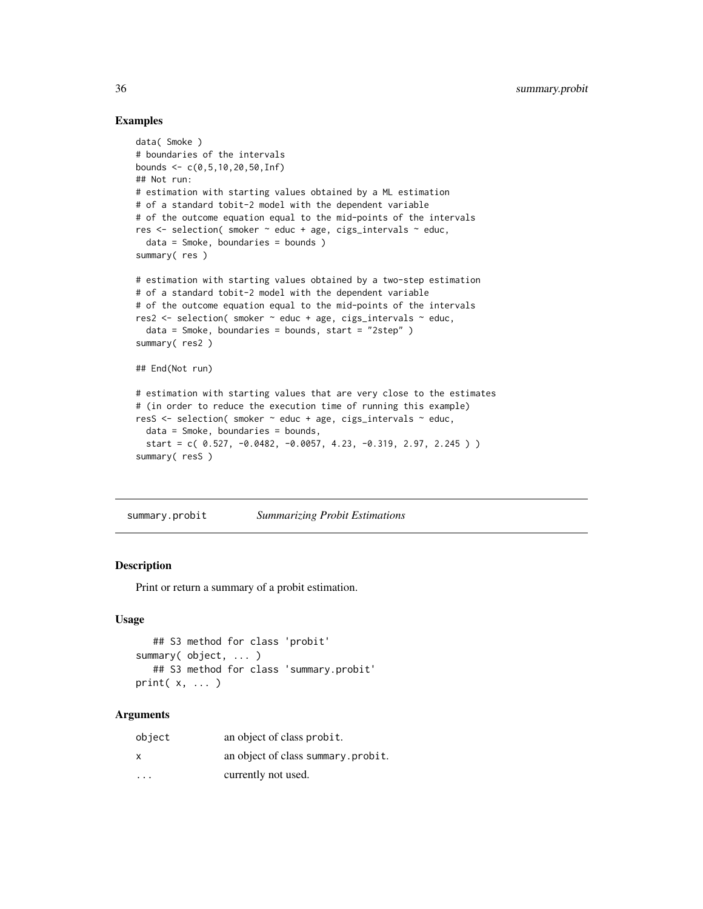## Examples

```
data( Smoke )
# boundaries of the intervals
bounds <- c(0,5,10,20,50,Inf)
## Not run:
# estimation with starting values obtained by a ML estimation
# of a standard tobit-2 model with the dependent variable
# of the outcome equation equal to the mid-points of the intervals
res <- selection( smoker ~ educ + age, cigs_intervals ~ educ,
  data = Smoke, boundaries = bounds )
summary( res )
# estimation with starting values obtained by a two-step estimation
# of a standard tobit-2 model with the dependent variable
# of the outcome equation equal to the mid-points of the intervals
res2 \leq selection( smoker \sim educ + age, cigs_intervals \sim educ,
  data = Smoke, boundaries = bounds, start = "2step" )summary( res2 )
## End(Not run)
# estimation with starting values that are very close to the estimates
# (in order to reduce the execution time of running this example)
resS <- selection( smoker ~ educ + age, cigs_intervals ~ educ,
  data = Smoke, boundaries = bounds,
  start = c( 0.527, -0.0482, -0.0057, 4.23, -0.319, 2.97, 2.245))
summary( resS )
```
<span id="page-35-1"></span>summary.probit *Summarizing Probit Estimations*

## Description

Print or return a summary of a probit estimation.

#### Usage

```
## S3 method for class 'probit'
summary( object, ... )
  ## S3 method for class 'summary.probit'
print( x, ... )
```
#### Arguments

| object                  | an object of class probit.         |
|-------------------------|------------------------------------|
| x                       | an object of class summary.probit. |
| $\cdot$ $\cdot$ $\cdot$ | currently not used.                |

<span id="page-35-0"></span>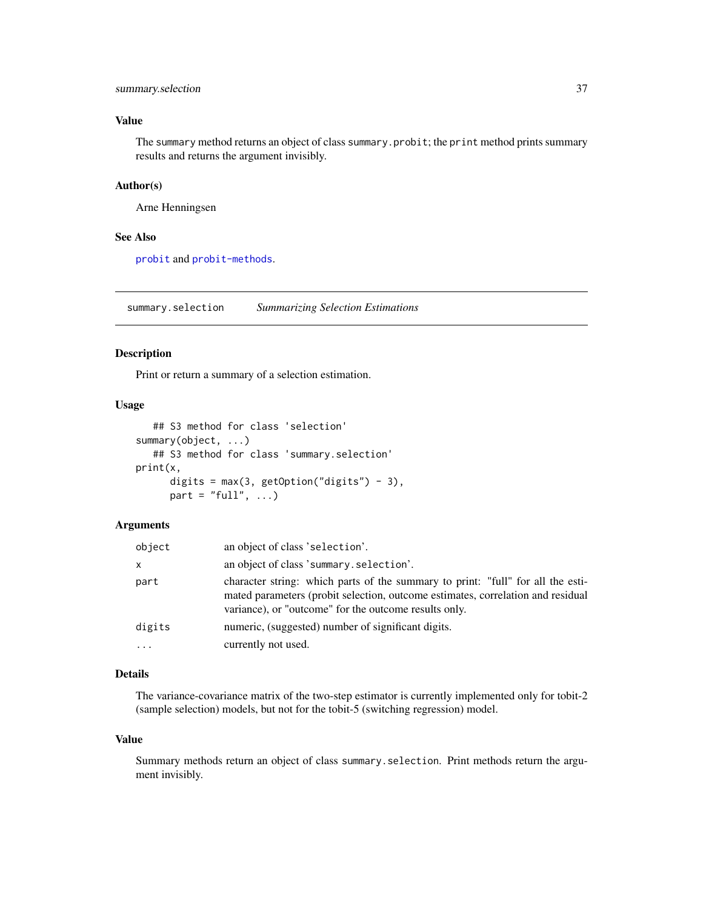## <span id="page-36-0"></span>summary.selection 37

## Value

The summary method returns an object of class summary. probit; the print method prints summary results and returns the argument invisibly.

#### Author(s)

Arne Henningsen

#### See Also

[probit](#page-18-1) and [probit-methods](#page-21-2).

<span id="page-36-1"></span>summary.selection *Summarizing Selection Estimations*

## Description

Print or return a summary of a selection estimation.

#### Usage

```
## S3 method for class 'selection'
summary(object, ...)
   ## S3 method for class 'summary.selection'
print(x,
      digits = max(3, getOption("digits") - 3),
      part = "full", \dots)
```
## Arguments

| object       | an object of class 'selection'.                                                                                                                                                                                             |
|--------------|-----------------------------------------------------------------------------------------------------------------------------------------------------------------------------------------------------------------------------|
| $\mathsf{x}$ | an object of class 'summary.selection'.                                                                                                                                                                                     |
| part         | character string: which parts of the summary to print: "full" for all the esti-<br>mated parameters (probit selection, outcome estimates, correlation and residual<br>variance), or "outcome" for the outcome results only. |
| digits       | numeric, (suggested) number of significant digits.                                                                                                                                                                          |
|              | currently not used.                                                                                                                                                                                                         |

## Details

The variance-covariance matrix of the two-step estimator is currently implemented only for tobit-2 (sample selection) models, but not for the tobit-5 (switching regression) model.

## Value

Summary methods return an object of class summary.selection. Print methods return the argument invisibly.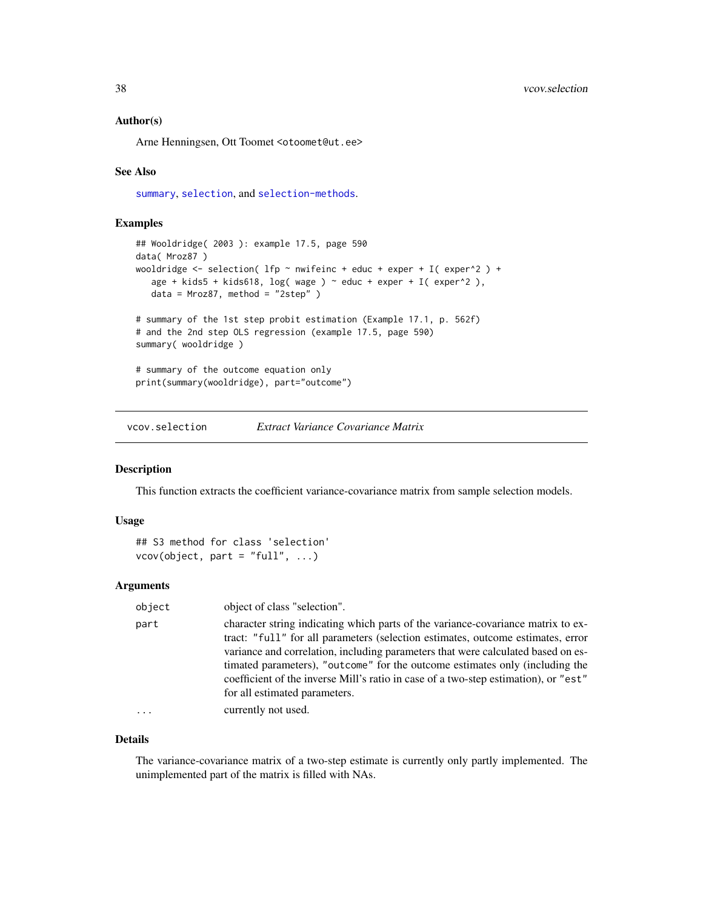#### <span id="page-37-0"></span>Author(s)

Arne Henningsen, Ott Toomet <otoomet@ut.ee>

#### See Also

[summary](#page-0-0), [selection](#page-26-1), and [selection-methods](#page-33-1).

## Examples

```
## Wooldridge( 2003 ): example 17.5, page 590
data( Mroz87 )
wooldridge \le selection( lfp \sim nwifeinc + educ + exper + I( exper^2 ) +
   age + kids5 + kids618, log( wage ) \sim educ + exper + I( exper^2 ),
  data = Mroz87, method = "2step" )
# summary of the 1st step probit estimation (Example 17.1, p. 562f)
# and the 2nd step OLS regression (example 17.5, page 590)
summary( wooldridge )
# summary of the outcome equation only
print(summary(wooldridge), part="outcome")
```
<span id="page-37-1"></span>vcov.selection *Extract Variance Covariance Matrix*

#### Description

This function extracts the coefficient variance-covariance matrix from sample selection models.

#### Usage

```
## S3 method for class 'selection'
vcov(object, part = "full", ...)
```
## Arguments

| object   | object of class "selection".                                                                                                                                                                                                                                                                                                                                                                                                                                    |
|----------|-----------------------------------------------------------------------------------------------------------------------------------------------------------------------------------------------------------------------------------------------------------------------------------------------------------------------------------------------------------------------------------------------------------------------------------------------------------------|
| part     | character string indicating which parts of the variance-covariance matrix to ex-<br>tract: "full" for all parameters (selection estimates, outcome estimates, error<br>variance and correlation, including parameters that were calculated based on es-<br>timated parameters), "outcome" for the outcome estimates only (including the<br>coefficient of the inverse Mill's ratio in case of a two-step estimation), or "est"<br>for all estimated parameters. |
| $\ddots$ | currently not used.                                                                                                                                                                                                                                                                                                                                                                                                                                             |
|          |                                                                                                                                                                                                                                                                                                                                                                                                                                                                 |

## Details

The variance-covariance matrix of a two-step estimate is currently only partly implemented. The unimplemented part of the matrix is filled with NAs.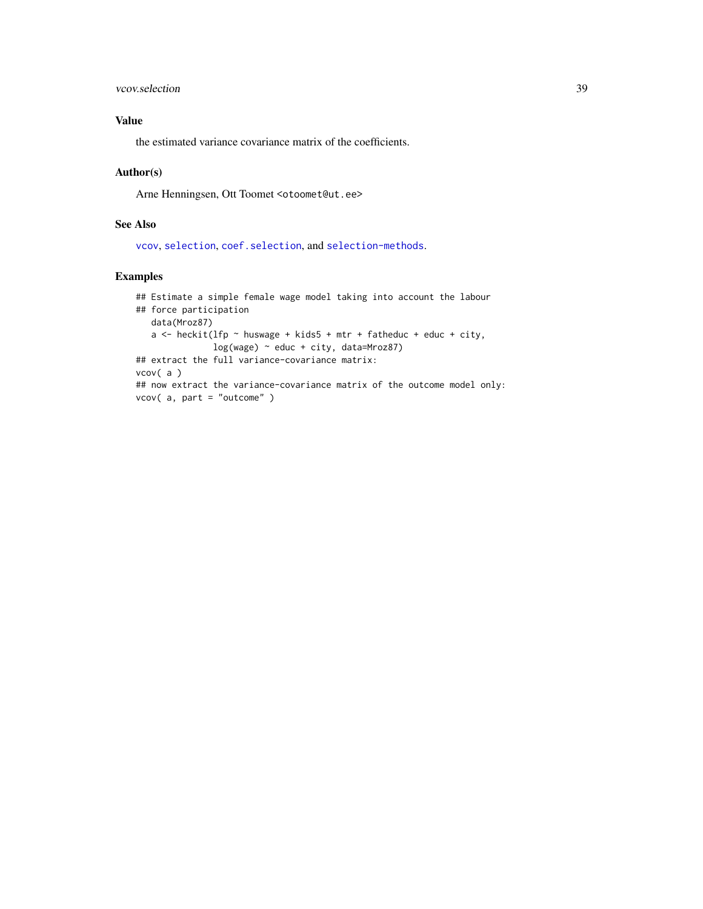## <span id="page-38-0"></span>vcov.selection 39

## Value

the estimated variance covariance matrix of the coefficients.

#### Author(s)

Arne Henningsen, Ott Toomet <otoomet@ut.ee>

### See Also

[vcov](#page-0-0), [selection](#page-26-1), [coef.selection](#page-1-1), and [selection-methods](#page-33-1).

#### Examples

```
## Estimate a simple female wage model taking into account the labour
## force participation
  data(Mroz87)
  a \le heckit(lfp \sim huswage + kids5 + mtr + fatheduc + educ + city,
               log(wage) ~ educ + city, data=Mroz87)
## extract the full variance-covariance matrix:
vcov( a )
## now extract the variance-covariance matrix of the outcome model only:
vcov( a, part = "outcome" )
```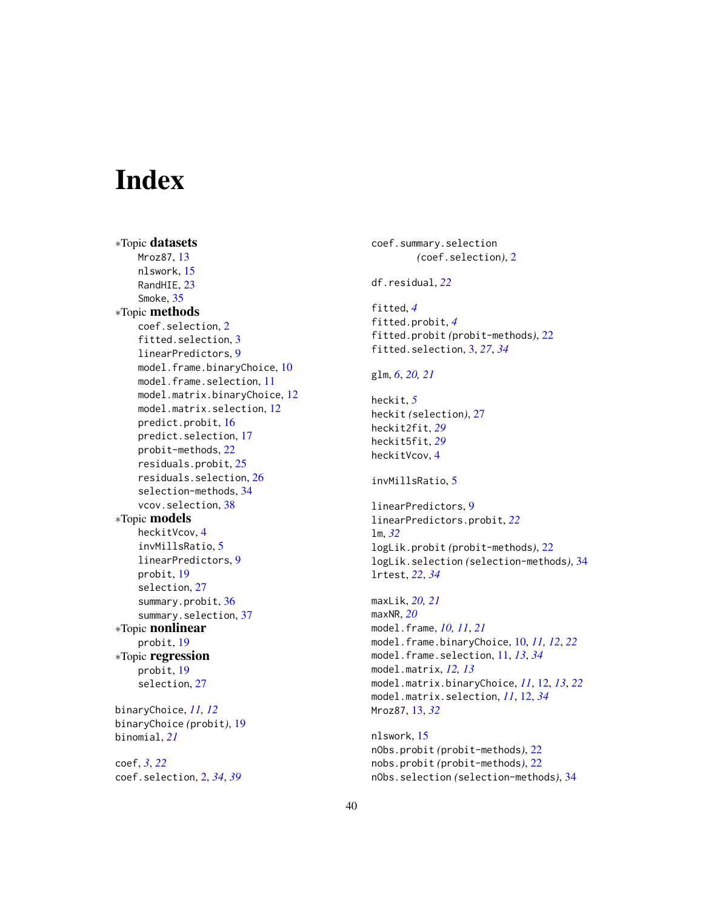# <span id="page-39-0"></span>Index

∗Topic datasets Mroz87, [13](#page-12-0) nlswork, [15](#page-14-0) RandHIE, [23](#page-22-0) Smoke, [35](#page-34-0) ∗Topic methods coef.selection, [2](#page-1-0) fitted.selection, [3](#page-2-0) linearPredictors, [9](#page-8-0) model.frame.binaryChoice, [10](#page-9-0) model.frame.selection, [11](#page-10-0) model.matrix.binaryChoice, [12](#page-11-0) model.matrix.selection, [12](#page-11-0) predict.probit, [16](#page-15-0) predict.selection, [17](#page-16-0) probit-methods, [22](#page-21-0) residuals.probit, [25](#page-24-0) residuals.selection, [26](#page-25-0) selection-methods, [34](#page-33-0) vcov.selection, [38](#page-37-0) ∗Topic models heckitVcov, [4](#page-3-0) invMillsRatio, [5](#page-4-0) linearPredictors, [9](#page-8-0) probit, [19](#page-18-0) selection, [27](#page-26-0) summary.probit, [36](#page-35-0) summary.selection, [37](#page-36-0) ∗Topic nonlinear probit, [19](#page-18-0) ∗Topic regression probit, [19](#page-18-0) selection, [27](#page-26-0) binaryChoice, *[11,](#page-10-0) [12](#page-11-0)* binaryChoice *(*probit*)*, [19](#page-18-0) binomial, *[21](#page-20-0)* coef, *[3](#page-2-0)*, *[22](#page-21-0)*

coef.selection, [2,](#page-1-0) *[34](#page-33-0)*, *[39](#page-38-0)*

coef.summary.selection *(*coef.selection*)*, [2](#page-1-0) df.residual, *[22](#page-21-0)* fitted, *[4](#page-3-0)* fitted.probit, *[4](#page-3-0)* fitted.probit *(*probit-methods*)*, [22](#page-21-0) fitted.selection, [3,](#page-2-0) *[27](#page-26-0)*, *[34](#page-33-0)* glm, *[6](#page-5-0)*, *[20,](#page-19-0) [21](#page-20-0)* heckit, *[5](#page-4-0)* heckit *(*selection*)*, [27](#page-26-0) heckit2fit, *[29](#page-28-0)* heckit5fit, *[29](#page-28-0)* heckitVcov, [4](#page-3-0) invMillsRatio, [5](#page-4-0) linearPredictors, [9](#page-8-0) linearPredictors.probit, *[22](#page-21-0)* lm, *[32](#page-31-0)* logLik.probit *(*probit-methods*)*, [22](#page-21-0) logLik.selection *(*selection-methods*)*, [34](#page-33-0) lrtest, *[22](#page-21-0)*, *[34](#page-33-0)* maxLik, *[20,](#page-19-0) [21](#page-20-0)* maxNR, *[20](#page-19-0)* model.frame, *[10,](#page-9-0) [11](#page-10-0)*, *[21](#page-20-0)* model.frame.binaryChoice, [10,](#page-9-0) *[11,](#page-10-0) [12](#page-11-0)*, *[22](#page-21-0)* model.frame.selection, [11,](#page-10-0) *[13](#page-12-0)*, *[34](#page-33-0)* model.matrix, *[12,](#page-11-0) [13](#page-12-0)* model.matrix.binaryChoice, *[11](#page-10-0)*, [12,](#page-11-0) *[13](#page-12-0)*, *[22](#page-21-0)* model.matrix.selection, *[11](#page-10-0)*, [12,](#page-11-0) *[34](#page-33-0)* Mroz87, [13,](#page-12-0) *[32](#page-31-0)*

nlswork, [15](#page-14-0) nObs.probit *(*probit-methods*)*, [22](#page-21-0) nobs.probit *(*probit-methods*)*, [22](#page-21-0) nObs.selection *(*selection-methods*)*, [34](#page-33-0)